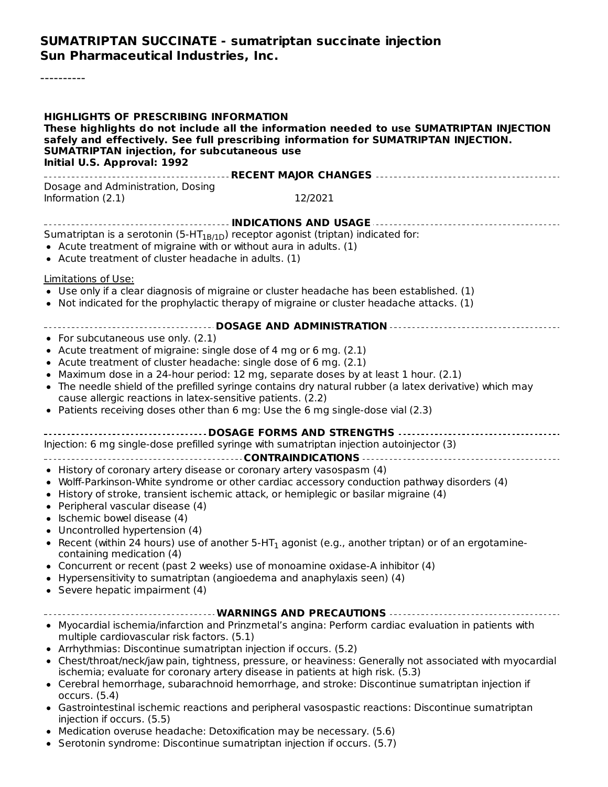#### **SUMATRIPTAN SUCCINATE - sumatriptan succinate injection Sun Pharmaceutical Industries, Inc.**

----------

| <b>HIGHLIGHTS OF PRESCRIBING INFORMATION</b><br>safely and effectively. See full prescribing information for SUMATRIPTAN INJECTION.<br><b>SUMATRIPTAN injection, for subcutaneous use</b><br>Initial U.S. Approval: 1992                                                                                                                                                                                                                                                                                                                                                                                                                                                                                                                                                                                  | These highlights do not include all the information needed to use SUMATRIPTAN INJECTION                   |
|-----------------------------------------------------------------------------------------------------------------------------------------------------------------------------------------------------------------------------------------------------------------------------------------------------------------------------------------------------------------------------------------------------------------------------------------------------------------------------------------------------------------------------------------------------------------------------------------------------------------------------------------------------------------------------------------------------------------------------------------------------------------------------------------------------------|-----------------------------------------------------------------------------------------------------------|
| Dosage and Administration, Dosing<br>Information (2.1)                                                                                                                                                                                                                                                                                                                                                                                                                                                                                                                                                                                                                                                                                                                                                    | 12/2021                                                                                                   |
| Sumatriptan is a serotonin (5-HT <sub>1B/1D</sub> ) receptor agonist (triptan) indicated for:<br>• Acute treatment of migraine with or without aura in adults. (1)<br>• Acute treatment of cluster headache in adults. (1)                                                                                                                                                                                                                                                                                                                                                                                                                                                                                                                                                                                |                                                                                                           |
| <b>Limitations of Use:</b><br>• Use only if a clear diagnosis of migraine or cluster headache has been established. (1)<br>• Not indicated for the prophylactic therapy of migraine or cluster headache attacks. (1)                                                                                                                                                                                                                                                                                                                                                                                                                                                                                                                                                                                      |                                                                                                           |
| • For subcutaneous use only. (2.1)<br>• Acute treatment of migraine: single dose of 4 mg or 6 mg. (2.1)<br>• Acute treatment of cluster headache: single dose of 6 mg. (2.1)<br>• Maximum dose in a 24-hour period: 12 mg, separate doses by at least 1 hour. (2.1)<br>• The needle shield of the prefilled syringe contains dry natural rubber (a latex derivative) which may<br>cause allergic reactions in latex-sensitive patients. (2.2)<br>• Patients receiving doses other than 6 mg: Use the 6 mg single-dose vial (2.3)                                                                                                                                                                                                                                                                          | ------------------------- DOSAGE AND ADMINISTRATION ----------------------------                          |
| Injection: 6 mg single-dose prefilled syringe with sumatriptan injection autoinjector (3)                                                                                                                                                                                                                                                                                                                                                                                                                                                                                                                                                                                                                                                                                                                 |                                                                                                           |
| • History of coronary artery disease or coronary artery vasospasm (4)<br>• Wolff-Parkinson-White syndrome or other cardiac accessory conduction pathway disorders (4)<br>• History of stroke, transient ischemic attack, or hemiplegic or basilar migraine (4)<br>• Peripheral vascular disease (4)<br>• Ischemic bowel disease (4)<br>• Uncontrolled hypertension (4)<br>• Recent (within 24 hours) use of another 5-HT <sub>1</sub> agonist (e.g., another triptan) or of an ergotamine-<br>containing medication (4)<br>• Concurrent or recent (past 2 weeks) use of monoamine oxidase-A inhibitor (4)<br>Hypersensitivity to sumatriptan (angioedema and anaphylaxis seen) (4)<br>• Severe hepatic impairment (4)<br>-------------------------- WARNINGS AND PRECAUTIONS        --------------------- |                                                                                                           |
| • Myocardial ischemia/infarction and Prinzmetal's angina: Perform cardiac evaluation in patients with<br>multiple cardiovascular risk factors. (5.1)<br>• Arrhythmias: Discontinue sumatriptan injection if occurs. (5.2)<br>ischemia; evaluate for coronary artery disease in patients at high risk. (5.3)<br>• Cerebral hemorrhage, subarachnoid hemorrhage, and stroke: Discontinue sumatriptan injection if<br>occurs. $(5.4)$<br>• Gastrointestinal ischemic reactions and peripheral vasospastic reactions: Discontinue sumatriptan<br>injection if occurs. (5.5)<br>• Medication overuse headache: Detoxification may be necessary. (5.6)<br>$\ln$ avec dramas. Dissolutions superinten injection if essure $(E, 7)$                                                                               | • Chest/throat/neck/jaw pain, tightness, pressure, or heaviness: Generally not associated with myocardial |

Serotonin syndrome: Discontinue sumatriptan injection if occurs. (5.7)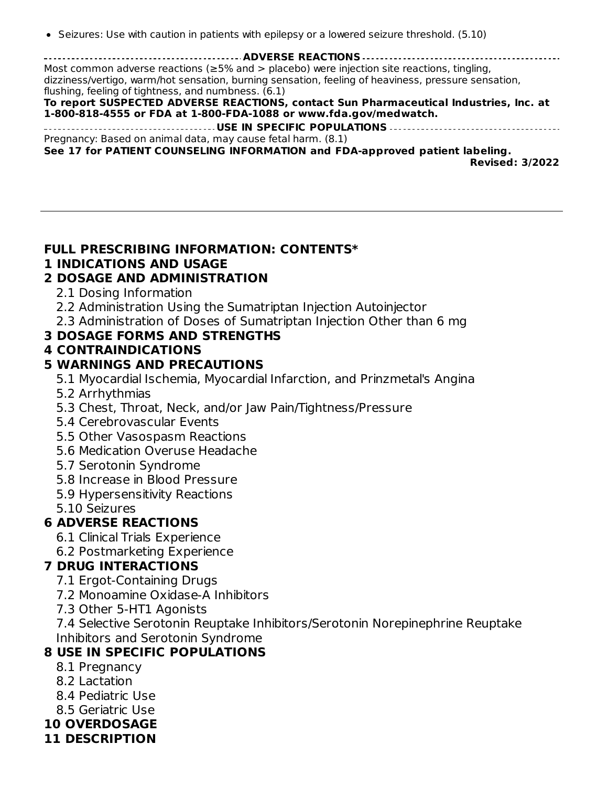• Seizures: Use with caution in patients with epilepsy or a lowered seizure threshold. (5.10)

**ADVERSE REACTIONS** Most common adverse reactions ( $\geq$ 5% and  $>$  placebo) were injection site reactions, tingling, dizziness/vertigo, warm/hot sensation, burning sensation, feeling of heaviness, pressure sensation, flushing, feeling of tightness, and numbness. (6.1)

#### **To report SUSPECTED ADVERSE REACTIONS, contact Sun Pharmaceutical Industries, Inc. at 1-800-818-4555 or FDA at 1-800-FDA-1088 or www.fda.gov/medwatch.**

**USE IN SPECIFIC POPULATIONS** Pregnancy: Based on animal data, may cause fetal harm. (8.1)

**See 17 for PATIENT COUNSELING INFORMATION and FDA-approved patient labeling. Revised: 3/2022**

## **FULL PRESCRIBING INFORMATION: CONTENTS\***

## **1 INDICATIONS AND USAGE**

## **2 DOSAGE AND ADMINISTRATION**

- 2.1 Dosing Information
- 2.2 Administration Using the Sumatriptan Injection Autoinjector
- 2.3 Administration of Doses of Sumatriptan Injection Other than 6 mg

## **3 DOSAGE FORMS AND STRENGTHS**

## **4 CONTRAINDICATIONS**

## **5 WARNINGS AND PRECAUTIONS**

- 5.1 Myocardial Ischemia, Myocardial Infarction, and Prinzmetal's Angina
- 5.2 Arrhythmias
- 5.3 Chest, Throat, Neck, and/or Jaw Pain/Tightness/Pressure
- 5.4 Cerebrovascular Events
- 5.5 Other Vasospasm Reactions
- 5.6 Medication Overuse Headache
- 5.7 Serotonin Syndrome
- 5.8 Increase in Blood Pressure
- 5.9 Hypersensitivity Reactions
- 5.10 Seizures

## **6 ADVERSE REACTIONS**

- 6.1 Clinical Trials Experience
- 6.2 Postmarketing Experience

## **7 DRUG INTERACTIONS**

- 7.1 Ergot-Containing Drugs
- 7.2 Monoamine Oxidase-A Inhibitors
- 7.3 Other 5-HT1 Agonists

7.4 Selective Serotonin Reuptake Inhibitors/Serotonin Norepinephrine Reuptake Inhibitors and Serotonin Syndrome

## **8 USE IN SPECIFIC POPULATIONS**

- 8.1 Pregnancy
- 8.2 Lactation
- 8.4 Pediatric Use
- 8.5 Geriatric Use
- **10 OVERDOSAGE**
- **11 DESCRIPTION**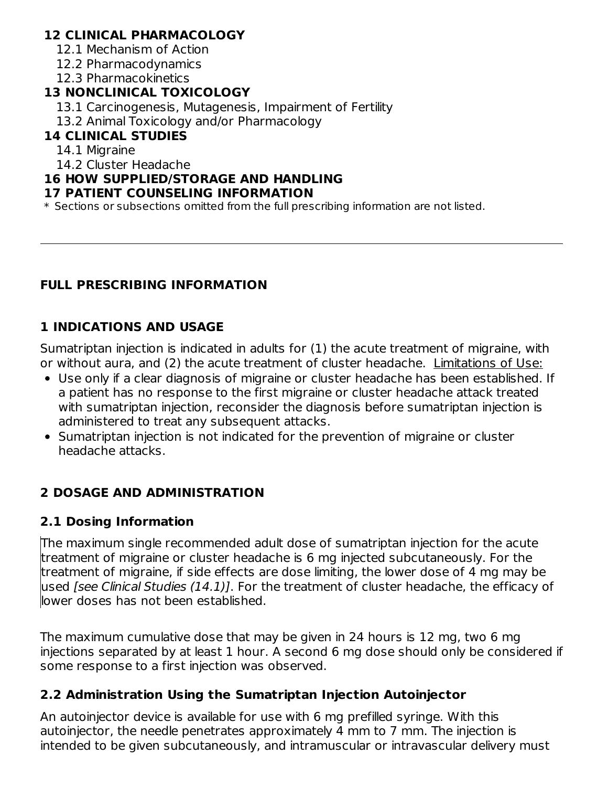## **12 CLINICAL PHARMACOLOGY**

- 12.1 Mechanism of Action
- 12.2 Pharmacodynamics
- 12.3 Pharmacokinetics

## **13 NONCLINICAL TOXICOLOGY**

- 13.1 Carcinogenesis, Mutagenesis, Impairment of Fertility
- 13.2 Animal Toxicology and/or Pharmacology

## **14 CLINICAL STUDIES**

- 14.1 Migraine
- 14.2 Cluster Headache

## **16 HOW SUPPLIED/STORAGE AND HANDLING**

#### **17 PATIENT COUNSELING INFORMATION**

 $\ast$  Sections or subsections omitted from the full prescribing information are not listed.

## **FULL PRESCRIBING INFORMATION**

## **1 INDICATIONS AND USAGE**

Sumatriptan injection is indicated in adults for (1) the acute treatment of migraine, with or without aura, and (2) the acute treatment of cluster headache. Limitations of Use:

- Use only if a clear diagnosis of migraine or cluster headache has been established. If a patient has no response to the first migraine or cluster headache attack treated with sumatriptan injection, reconsider the diagnosis before sumatriptan injection is administered to treat any subsequent attacks.
- Sumatriptan injection is not indicated for the prevention of migraine or cluster headache attacks.

## **2 DOSAGE AND ADMINISTRATION**

## **2.1 Dosing Information**

The maximum single recommended adult dose of sumatriptan injection for the acute treatment of migraine or cluster headache is 6 mg injected subcutaneously. For the treatment of migraine, if side effects are dose limiting, the lower dose of 4 mg may be used *[see Clinical Studies (14.1)]*. For the treatment of cluster headache, the efficacy of lower doses has not been established.

The maximum cumulative dose that may be given in 24 hours is 12 mg, two 6 mg injections separated by at least 1 hour. A second 6 mg dose should only be considered if some response to a first injection was observed.

## **2.2 Administration Using the Sumatriptan Injection Autoinjector**

An autoinjector device is available for use with 6 mg prefilled syringe. With this autoinjector, the needle penetrates approximately 4 mm to 7 mm. The injection is intended to be given subcutaneously, and intramuscular or intravascular delivery must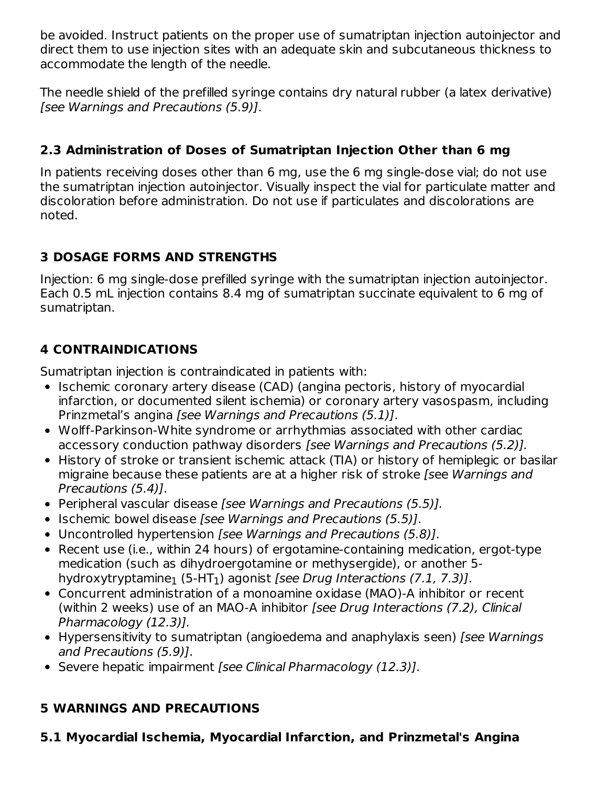be avoided. Instruct patients on the proper use of sumatriptan injection autoinjector and direct them to use injection sites with an adequate skin and subcutaneous thickness to accommodate the length of the needle.

The needle shield of the prefilled syringe contains dry natural rubber (a latex derivative) [see Warnings and Precautions (5.9)].

# **2.3 Administration of Doses of Sumatriptan Injection Other than 6 mg**

In patients receiving doses other than 6 mg, use the 6 mg single-dose vial; do not use the sumatriptan injection autoinjector. Visually inspect the vial for particulate matter and discoloration before administration. Do not use if particulates and discolorations are noted.

# **3 DOSAGE FORMS AND STRENGTHS**

Injection: 6 mg single-dose prefilled syringe with the sumatriptan injection autoinjector. Each 0.5 mL injection contains 8.4 mg of sumatriptan succinate equivalent to 6 mg of sumatriptan.

# **4 CONTRAINDICATIONS**

Sumatriptan injection is contraindicated in patients with:

- Ischemic coronary artery disease (CAD) (angina pectoris, history of myocardial infarction, or documented silent ischemia) or coronary artery vasospasm, including Prinzmetal's angina [see Warnings and Precautions (5.1)].
- Wolff-Parkinson-White syndrome or arrhythmias associated with other cardiac accessory conduction pathway disorders [see Warnings and Precautions (5.2)].
- History of stroke or transient ischemic attack (TIA) or history of hemiplegic or basilar migraine because these patients are at a higher risk of stroke [see Warnings and Precautions (5.4)].
- Peripheral vascular disease [see Warnings and Precautions (5.5)].
- Ischemic bowel disease [see Warnings and Precautions (5.5)].
- Uncontrolled hypertension [see Warnings and Precautions (5.8)].
- Recent use (i.e., within 24 hours) of ergotamine-containing medication, ergot-type medication (such as dihydroergotamine or methysergide), or another 5 hydroxytryptamine $_1$  (5-HT $_1$ ) agonist *[see Drug Interactions (7.1, 7.3)].*
- Concurrent administration of a monoamine oxidase (MAO)-A inhibitor or recent (within 2 weeks) use of an MAO-A inhibitor [see Drug Interactions (7.2), Clinical Pharmacology (12.3)].
- Hypersensitivity to sumatriptan (angioedema and anaphylaxis seen) [see Warnings] and Precautions (5.9)].
- Severe hepatic impairment [see Clinical Pharmacology (12.3)].

# **5 WARNINGS AND PRECAUTIONS**

**5.1 Myocardial Ischemia, Myocardial Infarction, and Prinzmetal's Angina**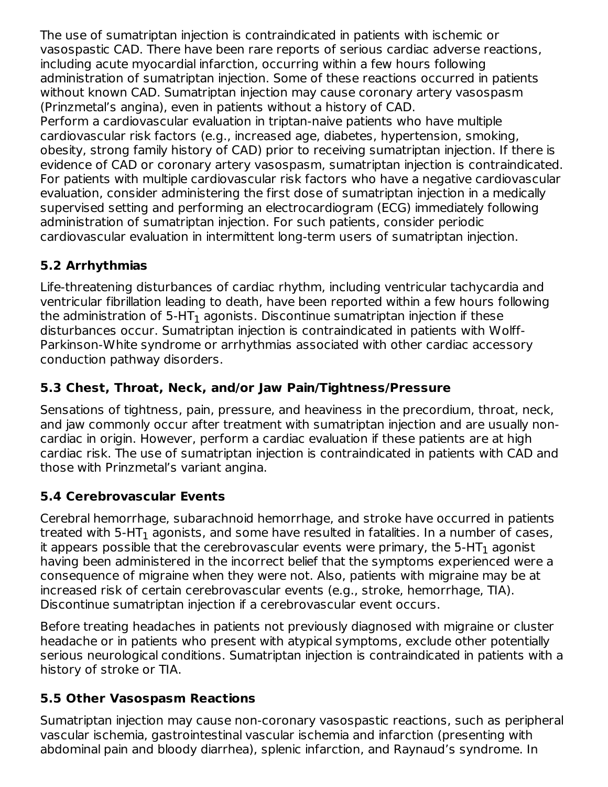The use of sumatriptan injection is contraindicated in patients with ischemic or vasospastic CAD. There have been rare reports of serious cardiac adverse reactions, including acute myocardial infarction, occurring within a few hours following administration of sumatriptan injection. Some of these reactions occurred in patients without known CAD. Sumatriptan injection may cause coronary artery vasospasm (Prinzmetal's angina), even in patients without a history of CAD.

Perform a cardiovascular evaluation in triptan-naive patients who have multiple cardiovascular risk factors (e.g., increased age, diabetes, hypertension, smoking, obesity, strong family history of CAD) prior to receiving sumatriptan injection. If there is evidence of CAD or coronary artery vasospasm, sumatriptan injection is contraindicated. For patients with multiple cardiovascular risk factors who have a negative cardiovascular evaluation, consider administering the first dose of sumatriptan injection in a medically supervised setting and performing an electrocardiogram (ECG) immediately following administration of sumatriptan injection. For such patients, consider periodic cardiovascular evaluation in intermittent long-term users of sumatriptan injection.

# **5.2 Arrhythmias**

Life-threatening disturbances of cardiac rhythm, including ventricular tachycardia and ventricular fibrillation leading to death, have been reported within a few hours following the administration of 5-HT $_{\rm 1}$  agonists. Discontinue sumatriptan injection if these disturbances occur. Sumatriptan injection is contraindicated in patients with Wolff-Parkinson-White syndrome or arrhythmias associated with other cardiac accessory conduction pathway disorders.

## **5.3 Chest, Throat, Neck, and/or Jaw Pain/Tightness/Pressure**

Sensations of tightness, pain, pressure, and heaviness in the precordium, throat, neck, and jaw commonly occur after treatment with sumatriptan injection and are usually noncardiac in origin. However, perform a cardiac evaluation if these patients are at high cardiac risk. The use of sumatriptan injection is contraindicated in patients with CAD and those with Prinzmetal's variant angina.

# **5.4 Cerebrovascular Events**

Cerebral hemorrhage, subarachnoid hemorrhage, and stroke have occurred in patients treated with 5-HT $_{\rm 1}$  agonists, and some have resulted in fatalities. In a number of cases, it appears possible that the cerebrovascular events were primary, the 5-HT $_{\rm 1}$  agonist having been administered in the incorrect belief that the symptoms experienced were a consequence of migraine when they were not. Also, patients with migraine may be at increased risk of certain cerebrovascular events (e.g., stroke, hemorrhage, TIA). Discontinue sumatriptan injection if a cerebrovascular event occurs.

Before treating headaches in patients not previously diagnosed with migraine or cluster headache or in patients who present with atypical symptoms, exclude other potentially serious neurological conditions. Sumatriptan injection is contraindicated in patients with a history of stroke or TIA.

## **5.5 Other Vasospasm Reactions**

Sumatriptan injection may cause non-coronary vasospastic reactions, such as peripheral vascular ischemia, gastrointestinal vascular ischemia and infarction (presenting with abdominal pain and bloody diarrhea), splenic infarction, and Raynaud's syndrome. In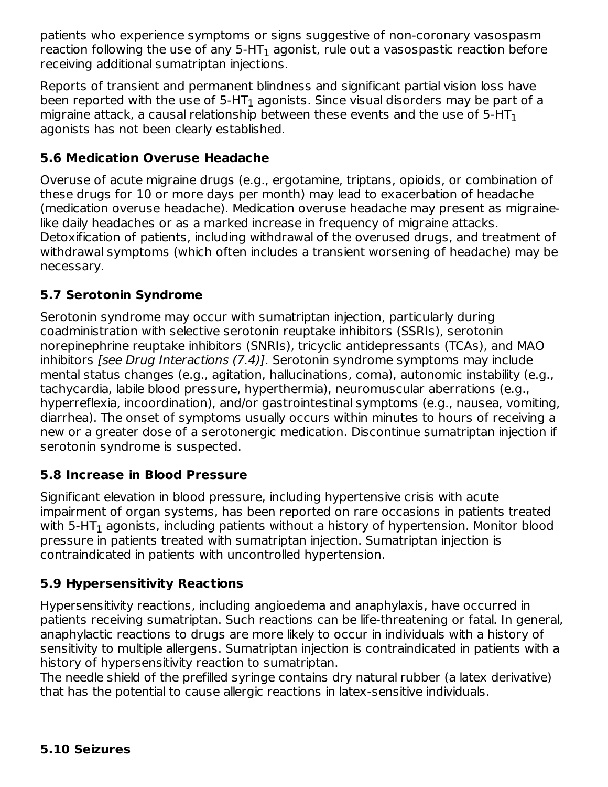patients who experience symptoms or signs suggestive of non-coronary vasospasm reaction following the use of any 5-HT $_{\rm 1}$  agonist, rule out a vasospastic reaction before receiving additional sumatriptan injections.

Reports of transient and permanent blindness and significant partial vision loss have been reported with the use of 5-HT $_{\rm 1}$  agonists. Since visual disorders may be part of a migraine attack, a causal relationship between these events and the use of 5-HT $_{\rm 1}$ agonists has not been clearly established.

## **5.6 Medication Overuse Headache**

Overuse of acute migraine drugs (e.g., ergotamine, triptans, opioids, or combination of these drugs for 10 or more days per month) may lead to exacerbation of headache (medication overuse headache). Medication overuse headache may present as migrainelike daily headaches or as a marked increase in frequency of migraine attacks. Detoxification of patients, including withdrawal of the overused drugs, and treatment of withdrawal symptoms (which often includes a transient worsening of headache) may be necessary.

## **5.7 Serotonin Syndrome**

Serotonin syndrome may occur with sumatriptan injection, particularly during coadministration with selective serotonin reuptake inhibitors (SSRIs), serotonin norepinephrine reuptake inhibitors (SNRIs), tricyclic antidepressants (TCAs), and MAO inhibitors [see Drug Interactions (7.4)]. Serotonin syndrome symptoms may include mental status changes (e.g., agitation, hallucinations, coma), autonomic instability (e.g., tachycardia, labile blood pressure, hyperthermia), neuromuscular aberrations (e.g., hyperreflexia, incoordination), and/or gastrointestinal symptoms (e.g., nausea, vomiting, diarrhea). The onset of symptoms usually occurs within minutes to hours of receiving a new or a greater dose of a serotonergic medication. Discontinue sumatriptan injection if serotonin syndrome is suspected.

## **5.8 Increase in Blood Pressure**

Significant elevation in blood pressure, including hypertensive crisis with acute impairment of organ systems, has been reported on rare occasions in patients treated with 5-HT $_{\rm 1}$  agonists, including patients without a history of hypertension. Monitor blood pressure in patients treated with sumatriptan injection. Sumatriptan injection is contraindicated in patients with uncontrolled hypertension.

# **5.9 Hypersensitivity Reactions**

Hypersensitivity reactions, including angioedema and anaphylaxis, have occurred in patients receiving sumatriptan. Such reactions can be life-threatening or fatal. In general, anaphylactic reactions to drugs are more likely to occur in individuals with a history of sensitivity to multiple allergens. Sumatriptan injection is contraindicated in patients with a history of hypersensitivity reaction to sumatriptan.

The needle shield of the prefilled syringe contains dry natural rubber (a latex derivative) that has the potential to cause allergic reactions in latex-sensitive individuals.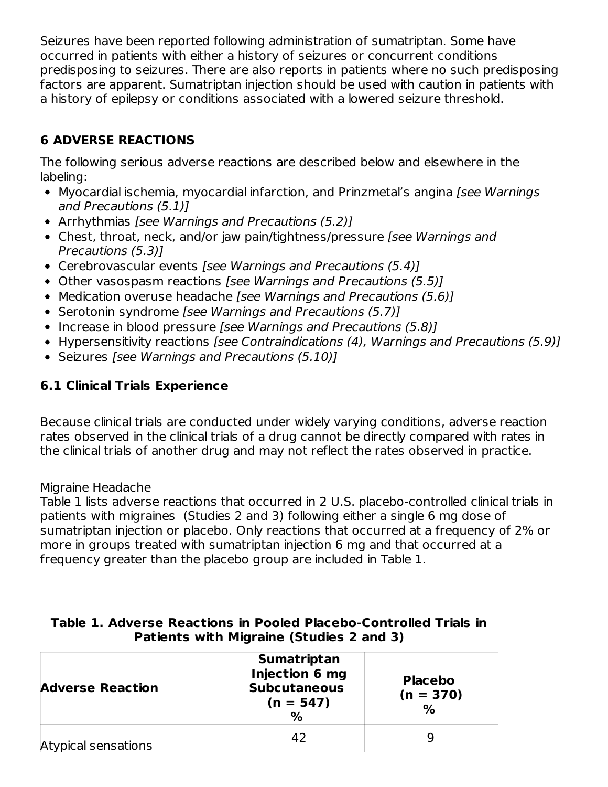Seizures have been reported following administration of sumatriptan. Some have occurred in patients with either a history of seizures or concurrent conditions predisposing to seizures. There are also reports in patients where no such predisposing factors are apparent. Sumatriptan injection should be used with caution in patients with a history of epilepsy or conditions associated with a lowered seizure threshold.

# **6 ADVERSE REACTIONS**

The following serious adverse reactions are described below and elsewhere in the labeling:

- Myocardial ischemia, myocardial infarction, and Prinzmetal's angina [see Warnings] and Precautions (5.1)]
- Arrhythmias [see Warnings and Precautions (5.2)]
- Chest, throat, neck, and/or jaw pain/tightness/pressure [see Warnings and Precautions (5.3)]
- Cerebrovascular events [see Warnings and Precautions (5.4)]
- Other vasospasm reactions [see Warnings and Precautions (5.5)]
- Medication overuse headache [see Warnings and Precautions (5.6)]
- Serotonin syndrome [see Warnings and Precautions (5.7)]
- Increase in blood pressure [see Warnings and Precautions (5.8)]
- Hypersensitivity reactions [see Contraindications (4), Warnings and Precautions (5.9)]
- Seizures [see Warnings and Precautions (5.10)]

## **6.1 Clinical Trials Experience**

Because clinical trials are conducted under widely varying conditions, adverse reaction rates observed in the clinical trials of a drug cannot be directly compared with rates in the clinical trials of another drug and may not reflect the rates observed in practice.

## Migraine Headache

Table 1 lists adverse reactions that occurred in 2 U.S. placebo-controlled clinical trials in patients with migraines (Studies 2 and 3) following either a single 6 mg dose of sumatriptan injection or placebo. Only reactions that occurred at a frequency of 2% or more in groups treated with sumatriptan injection 6 mg and that occurred at a frequency greater than the placebo group are included in Table 1.

| <b>Adverse Reaction</b> | <b>Sumatriptan</b><br>Injection 6 mg<br><b>Subcutaneous</b><br>$(n = 547)$<br>$\frac{0}{0}$ | <b>Placebo</b><br>$(n = 370)$<br>$\%$ |  |
|-------------------------|---------------------------------------------------------------------------------------------|---------------------------------------|--|
| Atypical sensations     | 42                                                                                          | q                                     |  |

#### **Table 1. Adverse Reactions in Pooled Placebo-Controlled Trials in Patients with Migraine (Studies 2 and 3)**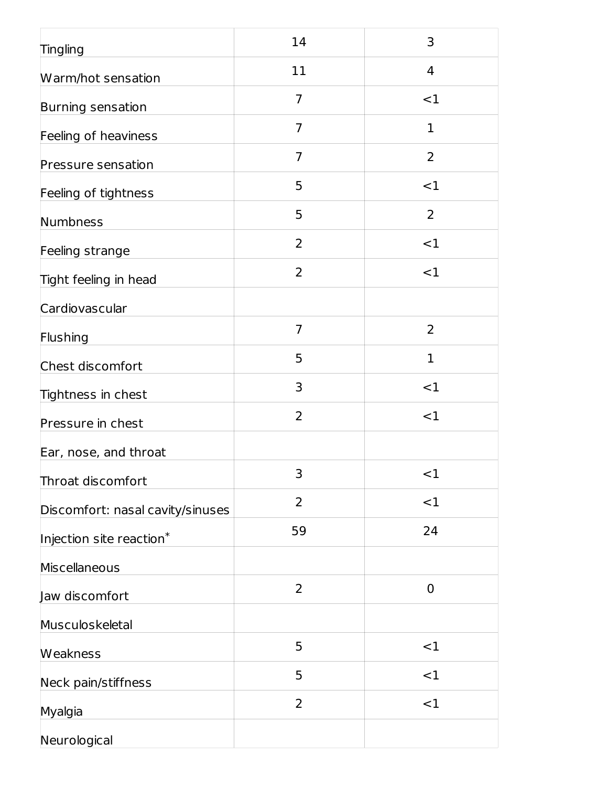| <b>Tingling</b>                  | 14             | 3              |
|----------------------------------|----------------|----------------|
| Warm/hot sensation               | 11             | 4              |
| Burning sensation                | $\overline{7}$ | <1             |
| Feeling of heaviness             | $\overline{7}$ | $\mathbf 1$    |
| Pressure sensation               | 7              | $\overline{2}$ |
| Feeling of tightness             | 5              | <1             |
| Numbness                         | 5              | $\overline{2}$ |
| Feeling strange                  | $\overline{2}$ | <1             |
| Tight feeling in head            | 2              | <1             |
| Cardiovascular                   |                |                |
| Flushing                         | $\overline{7}$ | $\overline{2}$ |
| Chest discomfort                 | 5              | 1              |
| Tightness in chest               | 3              | <1             |
| Pressure in chest                | 2              | <1             |
| Ear, nose, and throat            |                |                |
| Throat discomfort                | 3              | <1             |
| Discomfort: nasal cavity/sinuses | 2              | <1             |
| Injection site reaction*         | 59             | 24             |
| Miscellaneous                    |                |                |
| Jaw discomfort                   | 2              | $\mathbf 0$    |
| Musculoskeletal                  |                |                |
| Weakness                         | 5              | <1             |
| Neck pain/stiffness              | 5              | <1             |
| Myalgia                          | 2              | <1             |
| Neurological                     |                |                |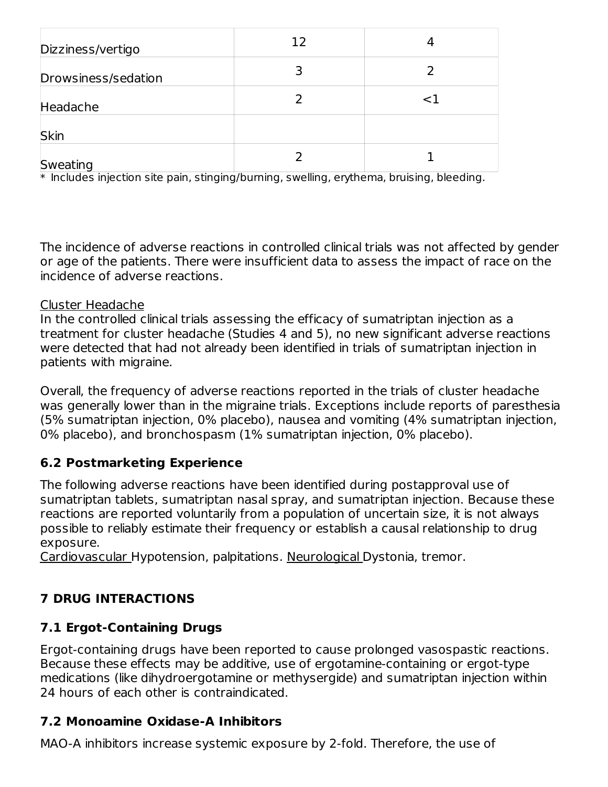| Dizziness/vertigo   | 12 |    |
|---------------------|----|----|
| Drowsiness/sedation |    |    |
| Headache            |    | ا> |
| Skin                |    |    |
| Sweating            |    |    |

 $\ast$  Includes injection site pain, stinging/burning, swelling, erythema, bruising, bleeding.

The incidence of adverse reactions in controlled clinical trials was not affected by gender or age of the patients. There were insufficient data to assess the impact of race on the incidence of adverse reactions.

#### Cluster Headache

In the controlled clinical trials assessing the efficacy of sumatriptan injection as a treatment for cluster headache (Studies 4 and 5), no new significant adverse reactions were detected that had not already been identified in trials of sumatriptan injection in patients with migraine.

Overall, the frequency of adverse reactions reported in the trials of cluster headache was generally lower than in the migraine trials. Exceptions include reports of paresthesia (5% sumatriptan injection, 0% placebo), nausea and vomiting (4% sumatriptan injection, 0% placebo), and bronchospasm (1% sumatriptan injection, 0% placebo).

## **6.2 Postmarketing Experience**

The following adverse reactions have been identified during postapproval use of sumatriptan tablets, sumatriptan nasal spray, and sumatriptan injection. Because these reactions are reported voluntarily from a population of uncertain size, it is not always possible to reliably estimate their frequency or establish a causal relationship to drug exposure.

Cardiovascular Hypotension, palpitations. Neurological Dystonia, tremor.

## **7 DRUG INTERACTIONS**

## **7.1 Ergot-Containing Drugs**

Ergot-containing drugs have been reported to cause prolonged vasospastic reactions. Because these effects may be additive, use of ergotamine-containing or ergot-type medications (like dihydroergotamine or methysergide) and sumatriptan injection within 24 hours of each other is contraindicated.

## **7.2 Monoamine Oxidase-A Inhibitors**

MAO-A inhibitors increase systemic exposure by 2-fold. Therefore, the use of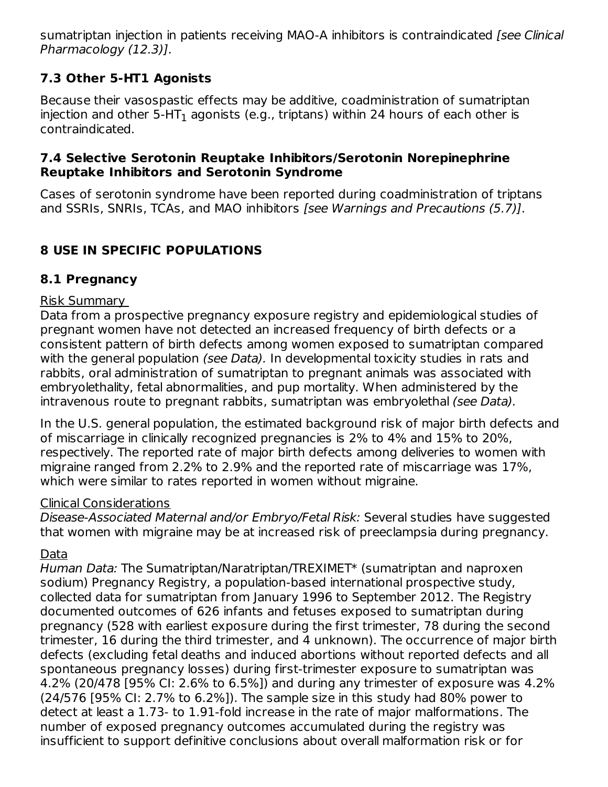sumatriptan injection in patients receiving MAO-A inhibitors is contraindicated [see Clinical Pharmacology (12.3)].

## **7.3 Other 5-HT1 Agonists**

Because their vasospastic effects may be additive, coadministration of sumatriptan injection and other 5-HT $_{\rm 1}$  agonists (e.g., triptans) within 24 hours of each other is contraindicated.

## **7.4 Selective Serotonin Reuptake Inhibitors/Serotonin Norepinephrine Reuptake Inhibitors and Serotonin Syndrome**

Cases of serotonin syndrome have been reported during coadministration of triptans and SSRIs, SNRIs, TCAs, and MAO inhibitors [see Warnings and Precautions (5.7)].

# **8 USE IN SPECIFIC POPULATIONS**

## **8.1 Pregnancy**

## Risk Summary

Data from a prospective pregnancy exposure registry and epidemiological studies of pregnant women have not detected an increased frequency of birth defects or a consistent pattern of birth defects among women exposed to sumatriptan compared with the general population *(see Data)*. In developmental toxicity studies in rats and rabbits, oral administration of sumatriptan to pregnant animals was associated with embryolethality, fetal abnormalities, and pup mortality. When administered by the intravenous route to pregnant rabbits, sumatriptan was embryolethal (see Data).

In the U.S. general population, the estimated background risk of major birth defects and of miscarriage in clinically recognized pregnancies is 2% to 4% and 15% to 20%, respectively. The reported rate of major birth defects among deliveries to women with migraine ranged from 2.2% to 2.9% and the reported rate of miscarriage was 17%, which were similar to rates reported in women without migraine.

## Clinical Considerations

Disease-Associated Maternal and/or Embryo/Fetal Risk: Several studies have suggested that women with migraine may be at increased risk of preeclampsia during pregnancy.

# Data

Human Data: The Sumatriptan/Naratriptan/TREXIMET\* (sumatriptan and naproxen sodium) Pregnancy Registry, a population-based international prospective study, collected data for sumatriptan from January 1996 to September 2012. The Registry documented outcomes of 626 infants and fetuses exposed to sumatriptan during pregnancy (528 with earliest exposure during the first trimester, 78 during the second trimester, 16 during the third trimester, and 4 unknown). The occurrence of major birth defects (excluding fetal deaths and induced abortions without reported defects and all spontaneous pregnancy losses) during first-trimester exposure to sumatriptan was 4.2% (20/478 [95% CI: 2.6% to 6.5%]) and during any trimester of exposure was 4.2% (24/576 [95% CI: 2.7% to 6.2%]). The sample size in this study had 80% power to detect at least a 1.73- to 1.91-fold increase in the rate of major malformations. The number of exposed pregnancy outcomes accumulated during the registry was insufficient to support definitive conclusions about overall malformation risk or for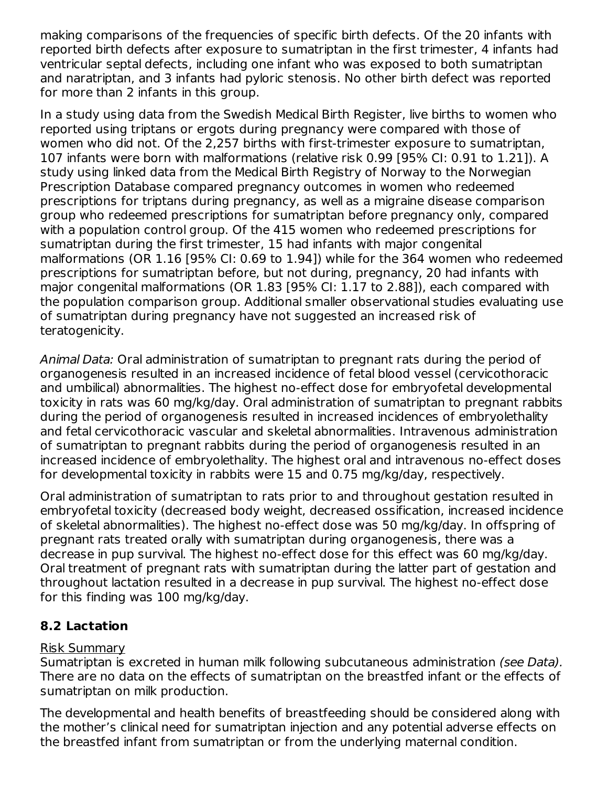making comparisons of the frequencies of specific birth defects. Of the 20 infants with reported birth defects after exposure to sumatriptan in the first trimester, 4 infants had ventricular septal defects, including one infant who was exposed to both sumatriptan and naratriptan, and 3 infants had pyloric stenosis. No other birth defect was reported for more than 2 infants in this group.

In a study using data from the Swedish Medical Birth Register, live births to women who reported using triptans or ergots during pregnancy were compared with those of women who did not. Of the 2,257 births with first-trimester exposure to sumatriptan, 107 infants were born with malformations (relative risk 0.99 [95% CI: 0.91 to 1.21]). A study using linked data from the Medical Birth Registry of Norway to the Norwegian Prescription Database compared pregnancy outcomes in women who redeemed prescriptions for triptans during pregnancy, as well as a migraine disease comparison group who redeemed prescriptions for sumatriptan before pregnancy only, compared with a population control group. Of the 415 women who redeemed prescriptions for sumatriptan during the first trimester, 15 had infants with major congenital malformations (OR 1.16 [95% CI: 0.69 to 1.94]) while for the 364 women who redeemed prescriptions for sumatriptan before, but not during, pregnancy, 20 had infants with major congenital malformations (OR 1.83 [95% CI: 1.17 to 2.88]), each compared with the population comparison group. Additional smaller observational studies evaluating use of sumatriptan during pregnancy have not suggested an increased risk of teratogenicity.

Animal Data: Oral administration of sumatriptan to pregnant rats during the period of organogenesis resulted in an increased incidence of fetal blood vessel (cervicothoracic and umbilical) abnormalities. The highest no-effect dose for embryofetal developmental toxicity in rats was 60 mg/kg/day. Oral administration of sumatriptan to pregnant rabbits during the period of organogenesis resulted in increased incidences of embryolethality and fetal cervicothoracic vascular and skeletal abnormalities. Intravenous administration of sumatriptan to pregnant rabbits during the period of organogenesis resulted in an increased incidence of embryolethality. The highest oral and intravenous no-effect doses for developmental toxicity in rabbits were 15 and 0.75 mg/kg/day, respectively.

Oral administration of sumatriptan to rats prior to and throughout gestation resulted in embryofetal toxicity (decreased body weight, decreased ossification, increased incidence of skeletal abnormalities). The highest no-effect dose was 50 mg/kg/day. In offspring of pregnant rats treated orally with sumatriptan during organogenesis, there was a decrease in pup survival. The highest no-effect dose for this effect was 60 mg/kg/day. Oral treatment of pregnant rats with sumatriptan during the latter part of gestation and throughout lactation resulted in a decrease in pup survival. The highest no-effect dose for this finding was 100 mg/kg/day.

## **8.2 Lactation**

## Risk Summary

Sumatriptan is excreted in human milk following subcutaneous administration (see Data). There are no data on the effects of sumatriptan on the breastfed infant or the effects of sumatriptan on milk production.

The developmental and health benefits of breastfeeding should be considered along with the mother's clinical need for sumatriptan injection and any potential adverse effects on the breastfed infant from sumatriptan or from the underlying maternal condition.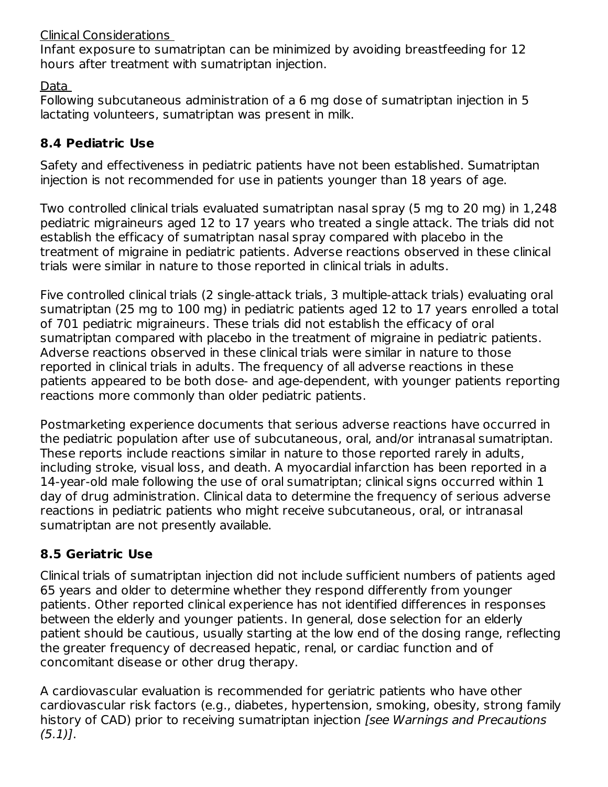## Clinical Considerations

Infant exposure to sumatriptan can be minimized by avoiding breastfeeding for 12 hours after treatment with sumatriptan injection.

Data

Following subcutaneous administration of a 6 mg dose of sumatriptan injection in 5 lactating volunteers, sumatriptan was present in milk.

## **8.4 Pediatric Use**

Safety and effectiveness in pediatric patients have not been established. Sumatriptan injection is not recommended for use in patients younger than 18 years of age.

Two controlled clinical trials evaluated sumatriptan nasal spray (5 mg to 20 mg) in 1,248 pediatric migraineurs aged 12 to 17 years who treated a single attack. The trials did not establish the efficacy of sumatriptan nasal spray compared with placebo in the treatment of migraine in pediatric patients. Adverse reactions observed in these clinical trials were similar in nature to those reported in clinical trials in adults.

Five controlled clinical trials (2 single-attack trials, 3 multiple-attack trials) evaluating oral sumatriptan (25 mg to 100 mg) in pediatric patients aged 12 to 17 years enrolled a total of 701 pediatric migraineurs. These trials did not establish the efficacy of oral sumatriptan compared with placebo in the treatment of migraine in pediatric patients. Adverse reactions observed in these clinical trials were similar in nature to those reported in clinical trials in adults. The frequency of all adverse reactions in these patients appeared to be both dose- and age-dependent, with younger patients reporting reactions more commonly than older pediatric patients.

Postmarketing experience documents that serious adverse reactions have occurred in the pediatric population after use of subcutaneous, oral, and/or intranasal sumatriptan. These reports include reactions similar in nature to those reported rarely in adults, including stroke, visual loss, and death. A myocardial infarction has been reported in a 14-year-old male following the use of oral sumatriptan; clinical signs occurred within 1 day of drug administration. Clinical data to determine the frequency of serious adverse reactions in pediatric patients who might receive subcutaneous, oral, or intranasal sumatriptan are not presently available.

# **8.5 Geriatric Use**

Clinical trials of sumatriptan injection did not include sufficient numbers of patients aged 65 years and older to determine whether they respond differently from younger patients. Other reported clinical experience has not identified differences in responses between the elderly and younger patients. In general, dose selection for an elderly patient should be cautious, usually starting at the low end of the dosing range, reflecting the greater frequency of decreased hepatic, renal, or cardiac function and of concomitant disease or other drug therapy.

A cardiovascular evaluation is recommended for geriatric patients who have other cardiovascular risk factors (e.g., diabetes, hypertension, smoking, obesity, strong family history of CAD) prior to receiving sumatriptan injection [see Warnings and Precautions  $(5.1)$ .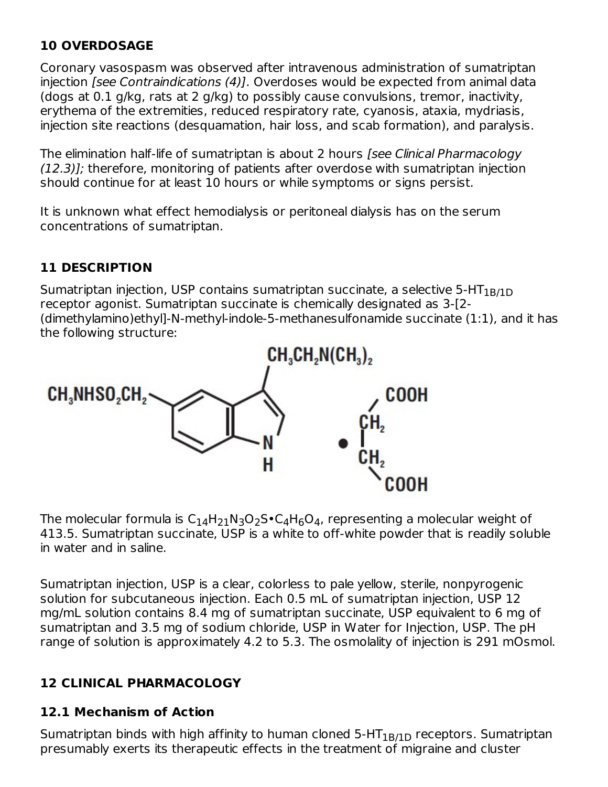## **10 OVERDOSAGE**

Coronary vasospasm was observed after intravenous administration of sumatriptan injection [see Contraindications (4)]. Overdoses would be expected from animal data (dogs at 0.1 g/kg, rats at 2 g/kg) to possibly cause convulsions, tremor, inactivity, erythema of the extremities, reduced respiratory rate, cyanosis, ataxia, mydriasis, injection site reactions (desquamation, hair loss, and scab formation), and paralysis.

The elimination half-life of sumatriptan is about 2 hours [see Clinical Pharmacology (12.3)]; therefore, monitoring of patients after overdose with sumatriptan injection should continue for at least 10 hours or while symptoms or signs persist.

It is unknown what effect hemodialysis or peritoneal dialysis has on the serum concentrations of sumatriptan.

## **11 DESCRIPTION**

Sumatriptan injection, USP contains sumatriptan succinate, a selective 5-HT $_{\rm 1B/1D}$ receptor agonist. Sumatriptan succinate is chemically designated as 3-[2- (dimethylamino)ethyl]-N-methyl-indole-5-methanesulfonamide succinate (1:1), and it has the following structure:



The molecular formula is  $\mathsf{C}_{14}\mathsf{H}_{21}\mathsf{N}_3\mathsf{O}_2\mathsf{S}\bullet \mathsf{C}_4\mathsf{H}_6\mathsf{O}_4$ , representing a molecular weight of 413.5. Sumatriptan succinate, USP is a white to off-white powder that is readily soluble in water and in saline.

Sumatriptan injection, USP is a clear, colorless to pale yellow, sterile, nonpyrogenic solution for subcutaneous injection. Each 0.5 mL of sumatriptan injection, USP 12 mg/mL solution contains 8.4 mg of sumatriptan succinate, USP equivalent to 6 mg of sumatriptan and 3.5 mg of sodium chloride, USP in Water for Injection, USP. The pH range of solution is approximately 4.2 to 5.3. The osmolality of injection is 291 mOsmol.

## **12 CLINICAL PHARMACOLOGY**

## **12.1 Mechanism of Action**

Sumatriptan binds with high affinity to human cloned 5-HT $_{\rm 1B/1D}$  receptors. Sumatriptan presumably exerts its therapeutic effects in the treatment of migraine and cluster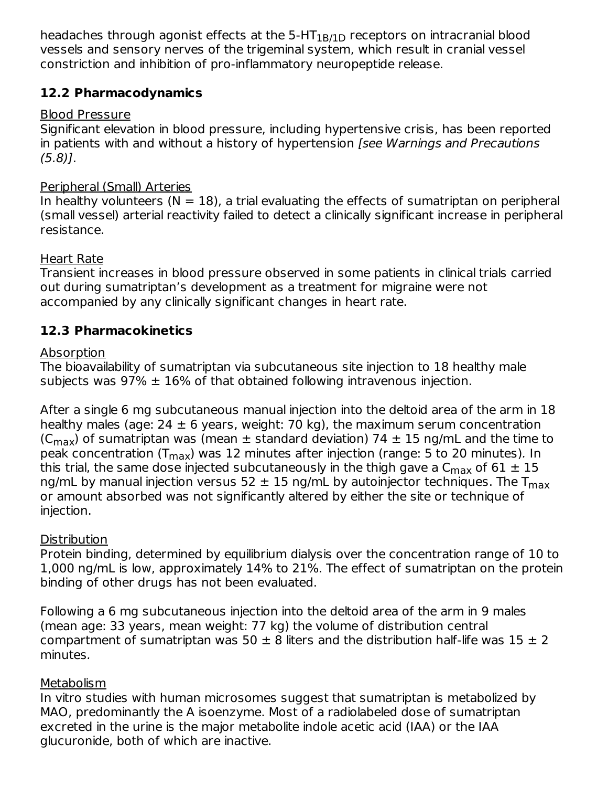headaches through agonist effects at the 5-HT $_{\rm 1B/1D}$  receptors on intracranial blood vessels and sensory nerves of the trigeminal system, which result in cranial vessel constriction and inhibition of pro-inflammatory neuropeptide release.

## **12.2 Pharmacodynamics**

## Blood Pressure

Significant elevation in blood pressure, including hypertensive crisis, has been reported in patients with and without a history of hypertension *[see Warnings and Precautions*  $(5.8)$ ].

## Peripheral (Small) Arteries

In healthy volunteers ( $N = 18$ ), a trial evaluating the effects of sumatriptan on peripheral (small vessel) arterial reactivity failed to detect a clinically significant increase in peripheral resistance.

## Heart Rate

Transient increases in blood pressure observed in some patients in clinical trials carried out during sumatriptan's development as a treatment for migraine were not accompanied by any clinically significant changes in heart rate.

## **12.3 Pharmacokinetics**

## **Absorption**

The bioavailability of sumatriptan via subcutaneous site injection to 18 healthy male subjects was  $97\% \pm 16\%$  of that obtained following intravenous injection.

After a single 6 mg subcutaneous manual injection into the deltoid area of the arm in 18 healthy males (age:  $24 \pm 6$  years, weight: 70 kg), the maximum serum concentration (C<sub>max</sub>) of sumatriptan was (mean  $\pm$  standard deviation) 74  $\pm$  15 ng/mL and the time to peak concentration (T<sub>max</sub>) was 12 minutes after injection (range: 5 to 20 minutes). In this trial, the same dose injected subcutaneously in the thigh gave a C $_{\sf max}$  of 61  $\pm$  15 ng/mL by manual injection versus 52  $\pm$  15 ng/mL by autoinjector techniques. The T $_{\sf max}$ or amount absorbed was not significantly altered by either the site or technique of injection.

## **Distribution**

Protein binding, determined by equilibrium dialysis over the concentration range of 10 to 1,000 ng/mL is low, approximately 14% to 21%. The effect of sumatriptan on the protein binding of other drugs has not been evaluated.

Following a 6 mg subcutaneous injection into the deltoid area of the arm in 9 males (mean age: 33 years, mean weight: 77 kg) the volume of distribution central compartment of sumatriptan was 50  $\pm$  8 liters and the distribution half-life was 15  $\pm$  2 minutes.

## Metabolism

In vitro studies with human microsomes suggest that sumatriptan is metabolized by MAO, predominantly the A isoenzyme. Most of a radiolabeled dose of sumatriptan excreted in the urine is the major metabolite indole acetic acid (IAA) or the IAA glucuronide, both of which are inactive.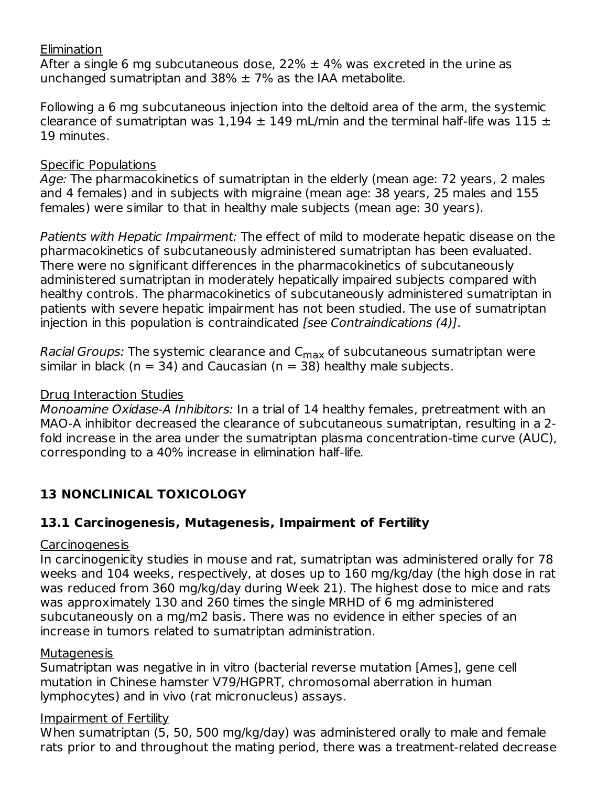#### **Elimination**

After a single 6 mg subcutaneous dose, 22%  $\pm$  4% was excreted in the urine as unchanged sumatriptan and 38%  $\pm$  7% as the IAA metabolite.

Following a 6 mg subcutaneous injection into the deltoid area of the arm, the systemic clearance of sumatriptan was  $1,194 \pm 149$  mL/min and the terminal half-life was  $115 \pm 1$ 19 minutes.

#### Specific Populations

Age: The pharmacokinetics of sumatriptan in the elderly (mean age: 72 years, 2 males and 4 females) and in subjects with migraine (mean age: 38 years, 25 males and 155 females) were similar to that in healthy male subjects (mean age: 30 years).

Patients with Hepatic Impairment: The effect of mild to moderate hepatic disease on the pharmacokinetics of subcutaneously administered sumatriptan has been evaluated. There were no significant differences in the pharmacokinetics of subcutaneously administered sumatriptan in moderately hepatically impaired subjects compared with healthy controls. The pharmacokinetics of subcutaneously administered sumatriptan in patients with severe hepatic impairment has not been studied. The use of sumatriptan injection in this population is contraindicated [see Contraindications (4)].

*Racial Groups:* The systemic clearance and C<sub>max</sub> of subcutaneous sumatriptan were similar in black ( $n = 34$ ) and Caucasian ( $n = 38$ ) healthy male subjects.

#### Drug Interaction Studies

Monoamine Oxidase-A Inhibitors: In a trial of 14 healthy females, pretreatment with an MAO-A inhibitor decreased the clearance of subcutaneous sumatriptan, resulting in a 2 fold increase in the area under the sumatriptan plasma concentration-time curve (AUC), corresponding to a 40% increase in elimination half-life.

# **13 NONCLINICAL TOXICOLOGY**

## **13.1 Carcinogenesis, Mutagenesis, Impairment of Fertility**

#### Carcinogenesis

In carcinogenicity studies in mouse and rat, sumatriptan was administered orally for 78 weeks and 104 weeks, respectively, at doses up to 160 mg/kg/day (the high dose in rat was reduced from 360 mg/kg/day during Week 21). The highest dose to mice and rats was approximately 130 and 260 times the single MRHD of 6 mg administered subcutaneously on a mg/m2 basis. There was no evidence in either species of an increase in tumors related to sumatriptan administration.

#### **Mutagenesis**

Sumatriptan was negative in in vitro (bacterial reverse mutation [Ames], gene cell mutation in Chinese hamster V79/HGPRT, chromosomal aberration in human lymphocytes) and in vivo (rat micronucleus) assays.

#### Impairment of Fertility

When sumatriptan (5, 50, 500 mg/kg/day) was administered orally to male and female rats prior to and throughout the mating period, there was a treatment-related decrease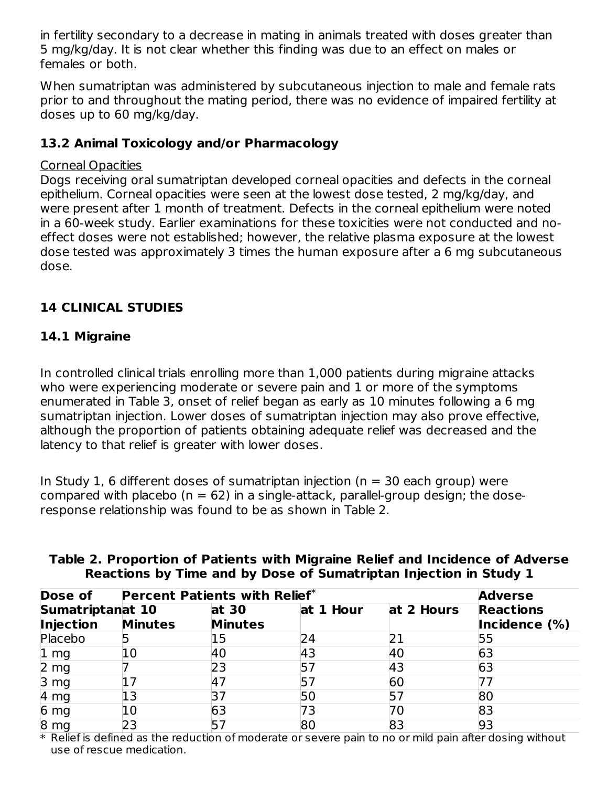in fertility secondary to a decrease in mating in animals treated with doses greater than 5 mg/kg/day. It is not clear whether this finding was due to an effect on males or females or both.

When sumatriptan was administered by subcutaneous injection to male and female rats prior to and throughout the mating period, there was no evidence of impaired fertility at doses up to 60 mg/kg/day.

## **13.2 Animal Toxicology and/or Pharmacology**

## Corneal Opacities

Dogs receiving oral sumatriptan developed corneal opacities and defects in the corneal epithelium. Corneal opacities were seen at the lowest dose tested, 2 mg/kg/day, and were present after 1 month of treatment. Defects in the corneal epithelium were noted in a 60-week study. Earlier examinations for these toxicities were not conducted and noeffect doses were not established; however, the relative plasma exposure at the lowest dose tested was approximately 3 times the human exposure after a 6 mg subcutaneous dose.

## **14 CLINICAL STUDIES**

## **14.1 Migraine**

In controlled clinical trials enrolling more than 1,000 patients during migraine attacks who were experiencing moderate or severe pain and 1 or more of the symptoms enumerated in Table 3, onset of relief began as early as 10 minutes following a 6 mg sumatriptan injection. Lower doses of sumatriptan injection may also prove effective, although the proportion of patients obtaining adequate relief was decreased and the latency to that relief is greater with lower doses.

In Study 1, 6 different doses of sumatriptan injection ( $n = 30$  each group) were compared with placebo ( $n = 62$ ) in a single-attack, parallel-group design; the doseresponse relationship was found to be as shown in Table 2.

| <b>Dose of</b>                              |                | Percent Patients with Relief* |           |            |                                                     |  |  |
|---------------------------------------------|----------------|-------------------------------|-----------|------------|-----------------------------------------------------|--|--|
| <b>Sumatriptanat 10</b><br><b>Injection</b> | <b>Minutes</b> | at 30<br><b>Minutes</b>       | at 1 Hour | at 2 Hours | <b>Adverse</b><br><b>Reactions</b><br>Incidence (%) |  |  |
| Placebo                                     |                | 15                            | 24        |            | 55                                                  |  |  |
| $ 1 \text{ mg} $                            | 10             | 40                            | 43        | 40         | 63                                                  |  |  |
| 2 <sub>mg</sub>                             |                | 23                            |           | 43         | 63                                                  |  |  |
| 3 <sub>mg</sub>                             |                | <b>47</b>                     |           | 60         |                                                     |  |  |
| 4 <sub>mg</sub>                             | 13             | 37                            | 50        |            | 80                                                  |  |  |
| 6 <sub>mg</sub>                             | 10             | 63                            | 73        |            | 83                                                  |  |  |
| 8 <sub>mg</sub>                             | 23             | 57                            | 8C        | 83         | 93                                                  |  |  |

## **Table 2. Proportion of Patients with Migraine Relief and Incidence of Adverse Reactions by Time and by Dose of Sumatriptan Injection in Study 1**

 $\ast$  Relief is defined as the reduction of moderate or severe pain to no or mild pain after dosing without use of rescue medication.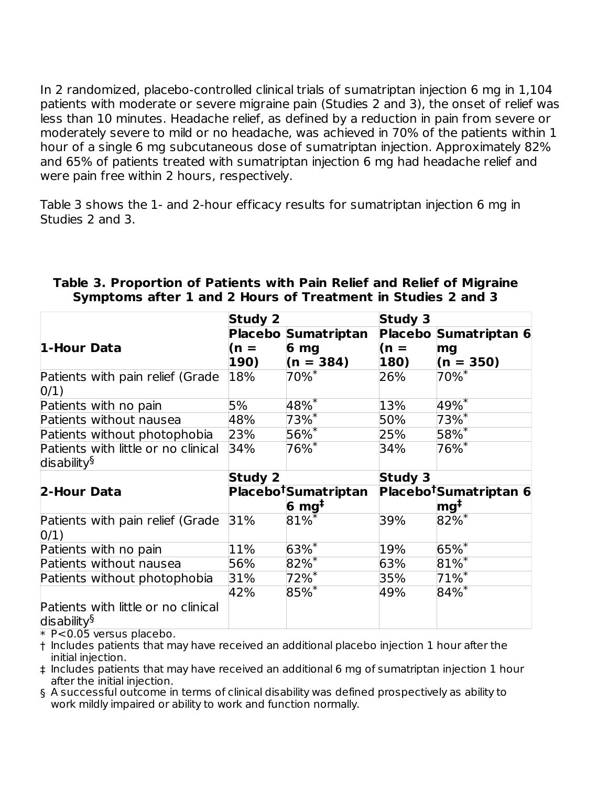In 2 randomized, placebo-controlled clinical trials of sumatriptan injection 6 mg in 1,104 patients with moderate or severe migraine pain (Studies 2 and 3), the onset of relief was less than 10 minutes. Headache relief, as defined by a reduction in pain from severe or moderately severe to mild or no headache, was achieved in 70% of the patients within 1 hour of a single 6 mg subcutaneous dose of sumatriptan injection. Approximately 82% and 65% of patients treated with sumatriptan injection 6 mg had headache relief and were pain free within 2 hours, respectively.

Table 3 shows the 1- and 2-hour efficacy results for sumatriptan injection 6 mg in Studies 2 and 3.

|                                                                | <b>Study 2</b> |                                  | <b>Study 3</b> |                                    |
|----------------------------------------------------------------|----------------|----------------------------------|----------------|------------------------------------|
|                                                                |                | Placebo Sumatriptan              |                | Placebo Sumatriptan 6              |
| 1-Hour Data                                                    | $(n =$         | 6 <sub>mg</sub>                  | $(n =$         | mg                                 |
|                                                                | 190)           | $(n = 384)$                      | 180)           | $(n = 350)$                        |
| Patients with pain relief (Grade<br>0/1)                       | 18%            | $70\%$ *                         | 26%            | $70\%$ <sup>*</sup>                |
| Patients with no pain                                          | 5%             | $48\%$                           | 13%            | $49\%^{*}$                         |
| Patients without nausea                                        | 48%            | $73%$ <sup>*</sup>               | 50%            | $73%$ <sup>*</sup>                 |
| Patients without photophobia                                   | 23%            | $56\overline{\%}$                | 25%            | 58%*                               |
| Patients with little or no clinical<br>disability $\S$         | 34%            | $76\%$ <sup>*</sup>              | 34%            | $76\%$ <sup>*</sup>                |
|                                                                | <b>Study 2</b> |                                  | <b>Study 3</b> |                                    |
| 2-Hour Data                                                    |                | Placebo <sup>†</sup> Sumatriptan |                | Placebo <sup>†</sup> Sumatriptan 6 |
|                                                                |                | $6 \text{ mg}^{\ddagger}$        |                | mg <sup>‡</sup>                    |
| Patients with pain relief (Grade<br>0/1)                       | 31%            | $81\%$                           | 39%            | $82\%$ <sup>*</sup>                |
| Patients with no pain                                          | 11%            | $63%$ *                          | 19%            | $65%$ *                            |
| Patients without nausea                                        | 56%            | $82%$ *                          | 63%            | $81\%$ <sup>*</sup>                |
| Patients without photophobia                                   | 31%            | $72\%$ <sup>*</sup>              | 35%            | $71\%$ <sup>*</sup>                |
| Patients with little or no clinical<br>disability <sup>§</sup> | 42%            | $85%$ *                          | 49%            | $84\%$ *                           |

#### **Table 3. Proportion of Patients with Pain Relief and Relief of Migraine Symptoms after 1 and 2 Hours of Treatment in Studies 2 and 3**

\* P<0.05 versus placebo.

† Includes patients that may have received an additional placebo injection 1 hour after the initial injection.

‡ Includes patients that may have received an additional 6 mg of sumatriptan injection 1 hour after the initial injection.

§ A successful outcome in terms of clinical disability was defined prospectively as ability to work mildly impaired or ability to work and function normally.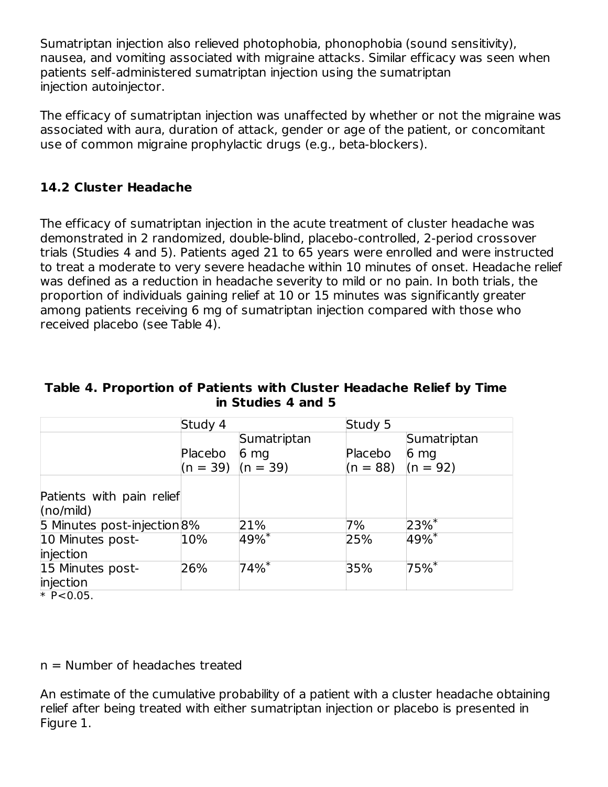Sumatriptan injection also relieved photophobia, phonophobia (sound sensitivity), nausea, and vomiting associated with migraine attacks. Similar efficacy was seen when patients self-administered sumatriptan injection using the sumatriptan injection autoinjector.

The efficacy of sumatriptan injection was unaffected by whether or not the migraine was associated with aura, duration of attack, gender or age of the patient, or concomitant use of common migraine prophylactic drugs (e.g., beta-blockers).

## **14.2 Cluster Headache**

The efficacy of sumatriptan injection in the acute treatment of cluster headache was demonstrated in 2 randomized, double-blind, placebo-controlled, 2-period crossover trials (Studies 4 and 5). Patients aged 21 to 65 years were enrolled and were instructed to treat a moderate to very severe headache within 10 minutes of onset. Headache relief was defined as a reduction in headache severity to mild or no pain. In both trials, the proportion of individuals gaining relief at 10 or 15 minutes was significantly greater among patients receiving 6 mg of sumatriptan injection compared with those who received placebo (see Table 4).

#### **Table 4. Proportion of Patients with Cluster Headache Relief by Time in Studies 4 and 5**

|                                             | Study 4    |                    | Study 5    |                    |
|---------------------------------------------|------------|--------------------|------------|--------------------|
|                                             |            | Sumatriptan        |            | Sumatriptan        |
|                                             | Placebo    | 6 <sub>mg</sub>    | Placebo    | 6 <sub>mg</sub>    |
|                                             | $(n = 39)$ | $(n = 39)$         | $(n = 88)$ | $(n = 92)$         |
|                                             |            |                    |            |                    |
| Patients with pain relief                   |            |                    |            |                    |
| (no/mild)                                   |            |                    |            |                    |
| 5 Minutes post-injection 8%                 |            | 21%                | 7%         | $23%$ <sup>*</sup> |
| 10 Minutes post-                            | 10%        | $49%$ <sup>*</sup> | 25%        | 49%                |
| injection                                   |            |                    |            |                    |
| 15 Minutes post-                            | 26%        | $74%$ <sup>*</sup> | 35%        | 75%                |
| injection                                   |            |                    |            |                    |
| $\cdots$ $\sim$ $\sim$ $\sim$ $\sim$ $\sim$ |            |                    |            |                    |

\* P<0.05.

n = Number of headaches treated

An estimate of the cumulative probability of a patient with a cluster headache obtaining relief after being treated with either sumatriptan injection or placebo is presented in Figure 1.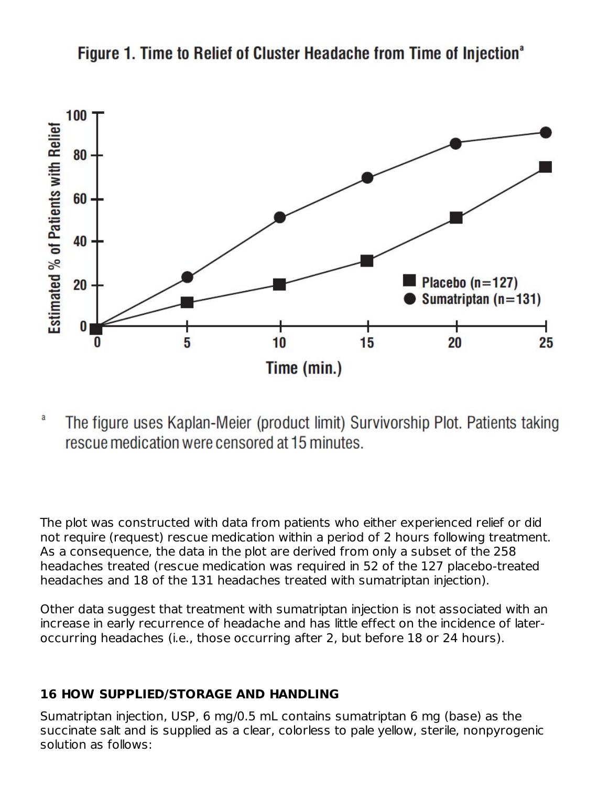

Figure 1. Time to Relief of Cluster Headache from Time of Injection<sup>®</sup>

a The figure uses Kaplan-Meier (product limit) Survivorship Plot. Patients taking rescue medication were censored at 15 minutes.

The plot was constructed with data from patients who either experienced relief or did not require (request) rescue medication within a period of 2 hours following treatment. As a consequence, the data in the plot are derived from only a subset of the 258 headaches treated (rescue medication was required in 52 of the 127 placebo-treated headaches and 18 of the 131 headaches treated with sumatriptan injection).

Other data suggest that treatment with sumatriptan injection is not associated with an increase in early recurrence of headache and has little effect on the incidence of lateroccurring headaches (i.e., those occurring after 2, but before 18 or 24 hours).

## **16 HOW SUPPLIED/STORAGE AND HANDLING**

Sumatriptan injection, USP, 6 mg/0.5 mL contains sumatriptan 6 mg (base) as the succinate salt and is supplied as a clear, colorless to pale yellow, sterile, nonpyrogenic solution as follows: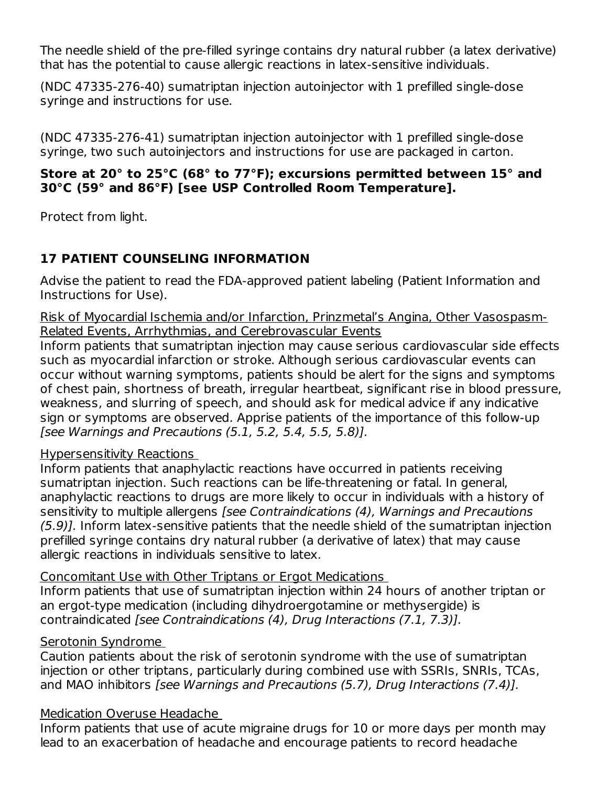The needle shield of the pre-filled syringe contains dry natural rubber (a latex derivative) that has the potential to cause allergic reactions in latex-sensitive individuals.

(NDC 47335-276-40) sumatriptan injection autoinjector with 1 prefilled single-dose syringe and instructions for use.

(NDC 47335-276-41) sumatriptan injection autoinjector with 1 prefilled single-dose syringe, two such autoinjectors and instructions for use are packaged in carton.

## **Store at 20° to 25°C (68° to 77°F); excursions permitted between 15° and 30°C (59° and 86°F) [see USP Controlled Room Temperature].**

Protect from light.

# **17 PATIENT COUNSELING INFORMATION**

Advise the patient to read the FDA-approved patient labeling (Patient Information and Instructions for Use).

Risk of Myocardial Ischemia and/or Infarction, Prinzmetal's Angina, Other Vasospasm-Related Events, Arrhythmias, and Cerebrovascular Events

Inform patients that sumatriptan injection may cause serious cardiovascular side effects such as myocardial infarction or stroke. Although serious cardiovascular events can occur without warning symptoms, patients should be alert for the signs and symptoms of chest pain, shortness of breath, irregular heartbeat, significant rise in blood pressure, weakness, and slurring of speech, and should ask for medical advice if any indicative sign or symptoms are observed. Apprise patients of the importance of this follow-up [see Warnings and Precautions (5.1, 5.2, 5.4, 5.5, 5.8)].

## Hypersensitivity Reactions

Inform patients that anaphylactic reactions have occurred in patients receiving sumatriptan injection. Such reactions can be life-threatening or fatal. In general, anaphylactic reactions to drugs are more likely to occur in individuals with a history of sensitivity to multiple allergens [see Contraindications (4), Warnings and Precautions (5.9)]. Inform latex-sensitive patients that the needle shield of the sumatriptan injection prefilled syringe contains dry natural rubber (a derivative of latex) that may cause allergic reactions in individuals sensitive to latex.

Concomitant Use with Other Triptans or Ergot Medications

Inform patients that use of sumatriptan injection within 24 hours of another triptan or an ergot-type medication (including dihydroergotamine or methysergide) is contraindicated [see Contraindications (4), Drug Interactions (7.1, 7.3)].

## Serotonin Syndrome

Caution patients about the risk of serotonin syndrome with the use of sumatriptan injection or other triptans, particularly during combined use with SSRIs, SNRIs, TCAs, and MAO inhibitors [see Warnings and Precautions (5.7), Drug Interactions (7.4)].

## Medication Overuse Headache

Inform patients that use of acute migraine drugs for 10 or more days per month may lead to an exacerbation of headache and encourage patients to record headache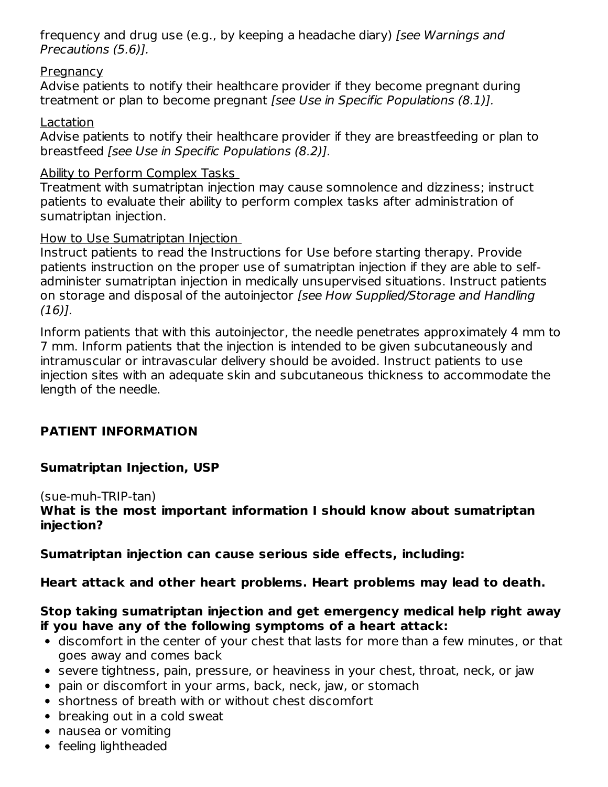frequency and drug use (e.g., by keeping a headache diary) [see Warnings and Precautions (5.6)].

## **Pregnancy**

Advise patients to notify their healthcare provider if they become pregnant during treatment or plan to become pregnant [see Use in Specific Populations (8.1)].

## Lactation

Advise patients to notify their healthcare provider if they are breastfeeding or plan to breastfeed [see Use in Specific Populations (8.2)].

## Ability to Perform Complex Tasks

Treatment with sumatriptan injection may cause somnolence and dizziness; instruct patients to evaluate their ability to perform complex tasks after administration of sumatriptan injection.

## How to Use Sumatriptan Injection

Instruct patients to read the Instructions for Use before starting therapy. Provide patients instruction on the proper use of sumatriptan injection if they are able to selfadminister sumatriptan injection in medically unsupervised situations. Instruct patients on storage and disposal of the autoinjector [see How Supplied/Storage and Handling (16)].

Inform patients that with this autoinjector, the needle penetrates approximately 4 mm to 7 mm. Inform patients that the injection is intended to be given subcutaneously and intramuscular or intravascular delivery should be avoided. Instruct patients to use injection sites with an adequate skin and subcutaneous thickness to accommodate the length of the needle.

## **PATIENT INFORMATION**

## **Sumatriptan Injection, USP**

(sue-muh-TRIP-tan)

**What is the most important information I should know about sumatriptan injection?**

**Sumatriptan injection can cause serious side effects, including:**

## **Heart attack and other heart problems. Heart problems may lead to death.**

## **Stop taking sumatriptan injection and get emergency medical help right away if you have any of the following symptoms of a heart attack:**

- discomfort in the center of your chest that lasts for more than a few minutes, or that goes away and comes back
- severe tightness, pain, pressure, or heaviness in your chest, throat, neck, or jaw
- pain or discomfort in your arms, back, neck, jaw, or stomach
- shortness of breath with or without chest discomfort
- breaking out in a cold sweat
- nausea or vomiting
- feeling lightheaded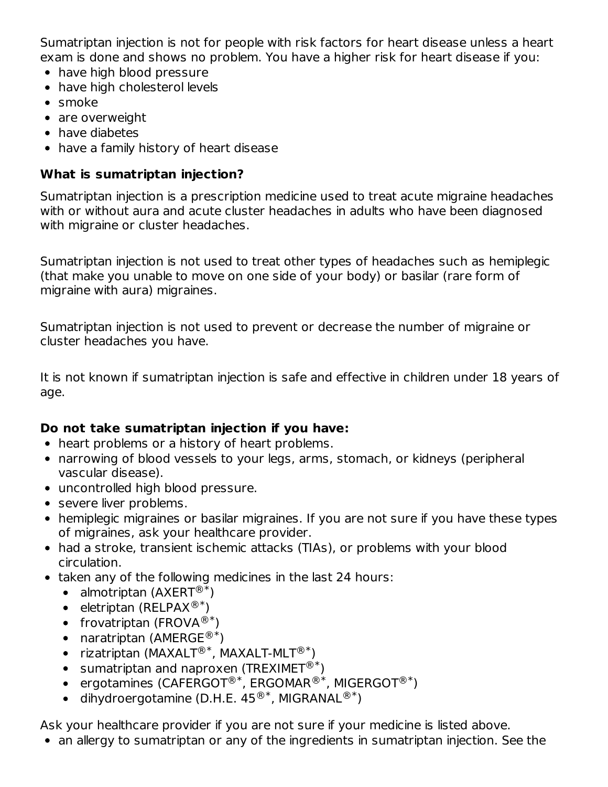Sumatriptan injection is not for people with risk factors for heart disease unless a heart exam is done and shows no problem. You have a higher risk for heart disease if you:

- have high blood pressure
- have high cholesterol levels
- smoke
- are overweight
- have diabetes
- have a family history of heart disease

## **What is sumatriptan injection?**

Sumatriptan injection is a prescription medicine used to treat acute migraine headaches with or without aura and acute cluster headaches in adults who have been diagnosed with migraine or cluster headaches.

Sumatriptan injection is not used to treat other types of headaches such as hemiplegic (that make you unable to move on one side of your body) or basilar (rare form of migraine with aura) migraines.

Sumatriptan injection is not used to prevent or decrease the number of migraine or cluster headaches you have.

It is not known if sumatriptan injection is safe and effective in children under 18 years of age.

## **Do not take sumatriptan injection if you have:**

- heart problems or a history of heart problems.
- narrowing of blood vessels to your legs, arms, stomach, or kidneys (peripheral vascular disease).
- uncontrolled high blood pressure.
- severe liver problems.
- hemiplegic migraines or basilar migraines. If you are not sure if you have these types of migraines, ask your healthcare provider.
- had a stroke, transient ischemic attacks (TIAs), or problems with your blood circulation.
- taken any of the following medicines in the last 24 hours:
	- almotriptan (AXERT $^{\circledR*}$ )
	- eletriptan (RELPAX $^{\circledR*}$ )
	- frovatriptan (FROVA $^{\circledR^{*}}$ )
	- naratriptan (AMERGE<sup>®\*</sup>)
	- rizatriptan (MAXALT®<sup>\*</sup>, MAXALT-MLT®<sup>\*</sup>)
	- sumatriptan and naproxen (TREXIMET $^{\circledR*}$ )
	- ergotamines (CAFERGOT®\*, ERGOMAR®\*, MIGERGOT®\*)  $\mathbb{R}^*$  FRGOMAR $\mathbb{R}^*$  MIGFRGOT $\mathbb{R}^*$
	- dihydroergotamine (D.H.E. 45 $^{\circledR*}$ , MIGRANAL $^{\circledR*}$ )  $\mathbb{R}^*$  MIGRANAI $\mathbb{R}^*$

Ask your healthcare provider if you are not sure if your medicine is listed above.

• an allergy to sumatriptan or any of the ingredients in sumatriptan injection. See the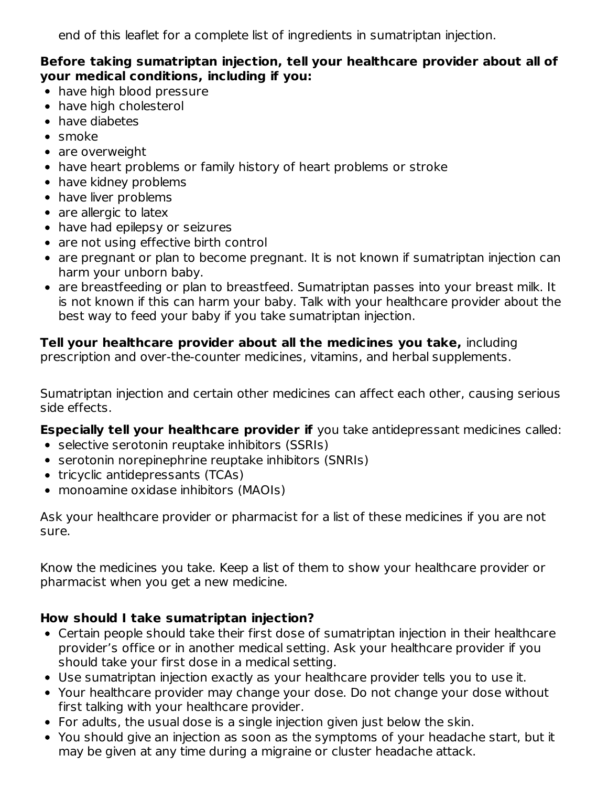end of this leaflet for a complete list of ingredients in sumatriptan injection.

#### **Before taking sumatriptan injection, tell your healthcare provider about all of your medical conditions, including if you:**

- have high blood pressure
- have high cholesterol
- have diabetes
- smoke
- are overweight
- have heart problems or family history of heart problems or stroke
- have kidney problems
- have liver problems
- are allergic to latex
- have had epilepsy or seizures
- are not using effective birth control
- are pregnant or plan to become pregnant. It is not known if sumatriptan injection can harm your unborn baby.
- are breastfeeding or plan to breastfeed. Sumatriptan passes into your breast milk. It is not known if this can harm your baby. Talk with your healthcare provider about the best way to feed your baby if you take sumatriptan injection.

## **Tell your healthcare provider about all the medicines you take,** including

prescription and over-the-counter medicines, vitamins, and herbal supplements.

Sumatriptan injection and certain other medicines can affect each other, causing serious side effects.

**Especially tell your healthcare provider if** you take antidepressant medicines called:

- selective serotonin reuptake inhibitors (SSRIs)
- serotonin norepinephrine reuptake inhibitors (SNRIs)
- tricyclic antidepressants (TCAs)
- monoamine oxidase inhibitors (MAOIs)

Ask your healthcare provider or pharmacist for a list of these medicines if you are not sure.

Know the medicines you take. Keep a list of them to show your healthcare provider or pharmacist when you get a new medicine.

## **How should I take sumatriptan injection?**

- Certain people should take their first dose of sumatriptan injection in their healthcare provider's office or in another medical setting. Ask your healthcare provider if you should take your first dose in a medical setting.
- Use sumatriptan injection exactly as your healthcare provider tells you to use it.
- Your healthcare provider may change your dose. Do not change your dose without first talking with your healthcare provider.
- For adults, the usual dose is a single injection given just below the skin.
- You should give an injection as soon as the symptoms of your headache start, but it may be given at any time during a migraine or cluster headache attack.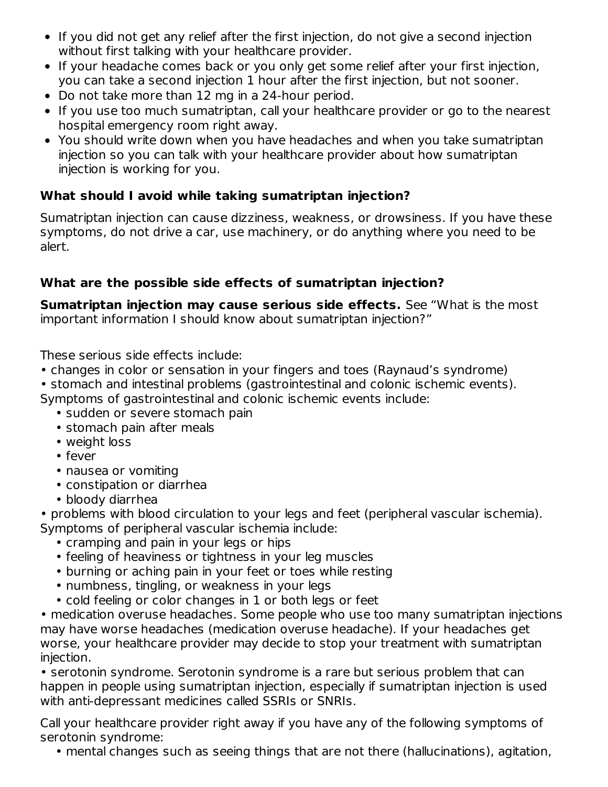- If you did not get any relief after the first injection, do not give a second injection without first talking with your healthcare provider.
- If your headache comes back or you only get some relief after your first injection, you can take a second injection 1 hour after the first injection, but not sooner.
- Do not take more than 12 mg in a 24-hour period.
- If you use too much sumatriptan, call your healthcare provider or go to the nearest hospital emergency room right away.
- You should write down when you have headaches and when you take sumatriptan injection so you can talk with your healthcare provider about how sumatriptan injection is working for you.

## **What should I avoid while taking sumatriptan injection?**

Sumatriptan injection can cause dizziness, weakness, or drowsiness. If you have these symptoms, do not drive a car, use machinery, or do anything where you need to be alert.

# **What are the possible side effects of sumatriptan injection?**

**Sumatriptan injection may cause serious side effects.** See "What is the most important information I should know about sumatriptan injection?"

These serious side effects include:

- changes in color or sensation in your fingers and toes (Raynaud's syndrome)
- stomach and intestinal problems (gastrointestinal and colonic ischemic events).

Symptoms of gastrointestinal and colonic ischemic events include:

- sudden or severe stomach pain
- stomach pain after meals
- weight loss
- fever
- nausea or vomiting
- constipation or diarrhea
- bloody diarrhea

• problems with blood circulation to your legs and feet (peripheral vascular ischemia). Symptoms of peripheral vascular ischemia include:

- cramping and pain in your legs or hips
- feeling of heaviness or tightness in your leg muscles
- burning or aching pain in your feet or toes while resting
- numbness, tingling, or weakness in your legs
- cold feeling or color changes in 1 or both legs or feet

• medication overuse headaches. Some people who use too many sumatriptan injections may have worse headaches (medication overuse headache). If your headaches get worse, your healthcare provider may decide to stop your treatment with sumatriptan injection.

• serotonin syndrome. Serotonin syndrome is a rare but serious problem that can happen in people using sumatriptan injection, especially if sumatriptan injection is used with anti-depressant medicines called SSRIs or SNRIs.

Call your healthcare provider right away if you have any of the following symptoms of serotonin syndrome:

• mental changes such as seeing things that are not there (hallucinations), agitation,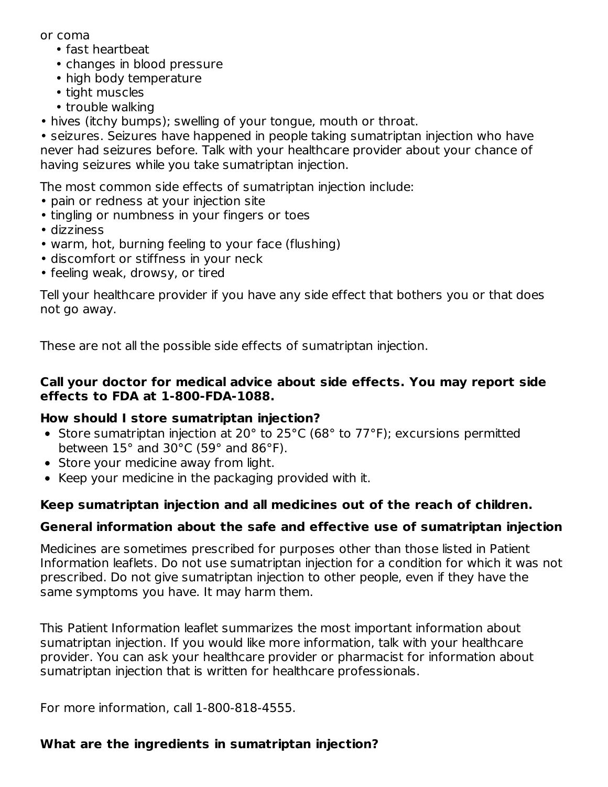or coma

- fast heartbeat
- changes in blood pressure
- high body temperature
- tight muscles
- trouble walking
- hives (itchy bumps); swelling of your tongue, mouth or throat.

• seizures. Seizures have happened in people taking sumatriptan injection who have never had seizures before. Talk with your healthcare provider about your chance of having seizures while you take sumatriptan injection.

The most common side effects of sumatriptan injection include:

- pain or redness at your injection site
- tingling or numbness in your fingers or toes
- dizziness
- warm, hot, burning feeling to your face (flushing)
- discomfort or stiffness in your neck
- feeling weak, drowsy, or tired

Tell your healthcare provider if you have any side effect that bothers you or that does not go away.

These are not all the possible side effects of sumatriptan injection.

## **Call your doctor for medical advice about side effects. You may report side effects to FDA at 1-800-FDA-1088.**

## **How should I store sumatriptan injection?**

- Store sumatriptan injection at 20° to 25°C (68° to 77°F); excursions permitted between 15° and 30°C (59° and 86°F).
- Store your medicine away from light.
- Keep your medicine in the packaging provided with it.

# **Keep sumatriptan injection and all medicines out of the reach of children.**

# **General information about the safe and effective use of sumatriptan injection**

Medicines are sometimes prescribed for purposes other than those listed in Patient Information leaflets. Do not use sumatriptan injection for a condition for which it was not prescribed. Do not give sumatriptan injection to other people, even if they have the same symptoms you have. It may harm them.

This Patient Information leaflet summarizes the most important information about sumatriptan injection. If you would like more information, talk with your healthcare provider. You can ask your healthcare provider or pharmacist for information about sumatriptan injection that is written for healthcare professionals.

For more information, call 1-800-818-4555.

## **What are the ingredients in sumatriptan injection?**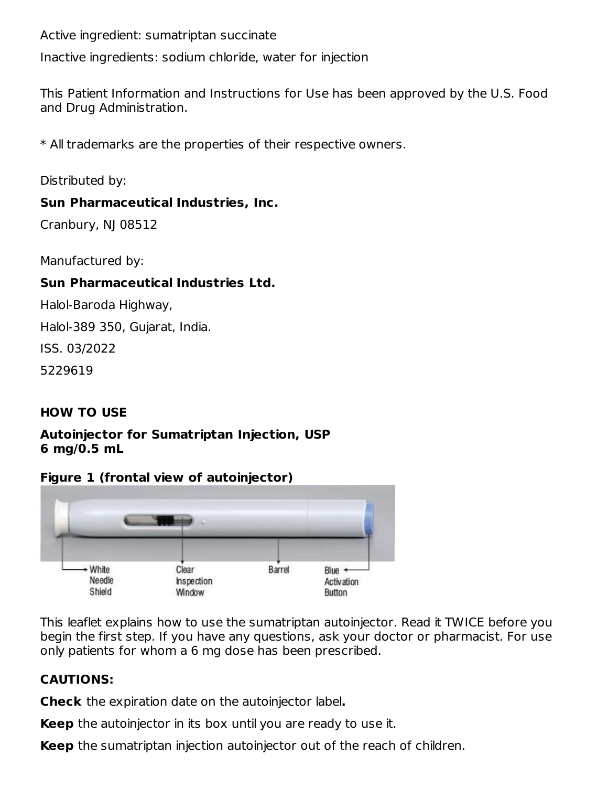Active ingredient: sumatriptan succinate

Inactive ingredients: sodium chloride, water for injection

This Patient Information and Instructions for Use has been approved by the U.S. Food and Drug Administration.

\* All trademarks are the properties of their respective owners.

Distributed by:

## **Sun Pharmaceutical Industries, Inc.**

Cranbury, NJ 08512

Manufactured by:

## **Sun Pharmaceutical Industries Ltd.**

Halol-Baroda Highway,

Halol-389 350, Gujarat, India.

ISS. 03/2022

5229619

## **HOW TO USE**

#### **Autoinjector for Sumatriptan Injection, USP 6 mg/0.5 mL**

## **Figure 1 (frontal view of autoinjector)**



This leaflet explains how to use the sumatriptan autoinjector. Read it TWICE before you begin the first step. If you have any questions, ask your doctor or pharmacist. For use only patients for whom a 6 mg dose has been prescribed.

## **CAUTIONS:**

**Check** the expiration date on the autoinjector label**.**

**Keep** the autoinjector in its box until you are ready to use it.

**Keep** the sumatriptan injection autoinjector out of the reach of children.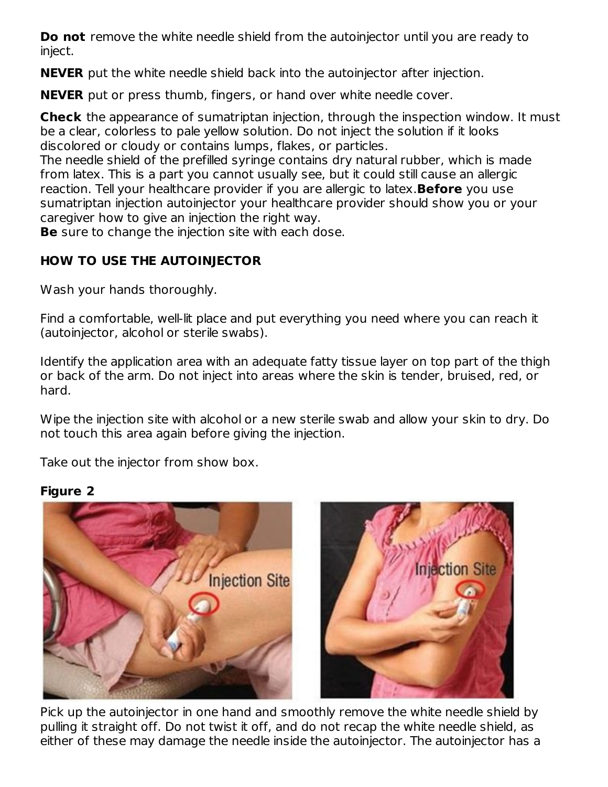**Do not** remove the white needle shield from the autoinjector until you are ready to inject.

**NEVER** put the white needle shield back into the autoinjector after injection.

**NEVER** put or press thumb, fingers, or hand over white needle cover.

**Check** the appearance of sumatriptan injection, through the inspection window. It must be a clear, colorless to pale yellow solution. Do not inject the solution if it looks discolored or cloudy or contains lumps, flakes, or particles.

The needle shield of the prefilled syringe contains dry natural rubber, which is made from latex. This is a part you cannot usually see, but it could still cause an allergic reaction. Tell your healthcare provider if you are allergic to latex.**Before** you use sumatriptan injection autoinjector your healthcare provider should show you or your caregiver how to give an injection the right way.

**Be** sure to change the injection site with each dose.

# **HOW TO USE THE AUTOINJECTOR**

Wash your hands thoroughly.

Find a comfortable, well-lit place and put everything you need where you can reach it (autoinjector, alcohol or sterile swabs).

Identify the application area with an adequate fatty tissue layer on top part of the thigh or back of the arm. Do not inject into areas where the skin is tender, bruised, red, or hard.

Wipe the injection site with alcohol or a new sterile swab and allow your skin to dry. Do not touch this area again before giving the injection.

Take out the injector from show box.

## **Figure 2**



Pick up the autoinjector in one hand and smoothly remove the white needle shield by pulling it straight off. Do not twist it off, and do not recap the white needle shield, as either of these may damage the needle inside the autoinjector. The autoinjector has a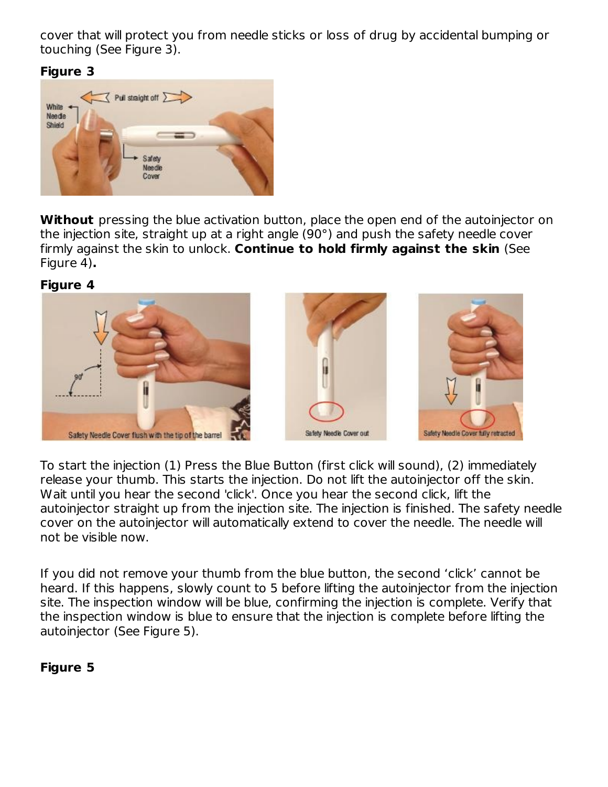cover that will protect you from needle sticks or loss of drug by accidental bumping or touching (See Figure 3).

#### **Figure 3**



**Without** pressing the blue activation button, place the open end of the autoinjector on the injection site, straight up at a right angle (90°) and push the safety needle cover firmly against the skin to unlock. **Continue to hold firmly against the skin** (See Figure 4)**.**

#### **Figure 4**



To start the injection (1) Press the Blue Button (first click will sound), (2) immediately release your thumb. This starts the injection. Do not lift the autoinjector off the skin. Wait until you hear the second 'click'. Once you hear the second click, lift the autoinjector straight up from the injection site. The injection is finished. The safety needle cover on the autoinjector will automatically extend to cover the needle. The needle will not be visible now.

If you did not remove your thumb from the blue button, the second 'click' cannot be heard. If this happens, slowly count to 5 before lifting the autoinjector from the injection site. The inspection window will be blue, confirming the injection is complete. Verify that the inspection window is blue to ensure that the injection is complete before lifting the autoinjector (See Figure 5).

## **Figure 5**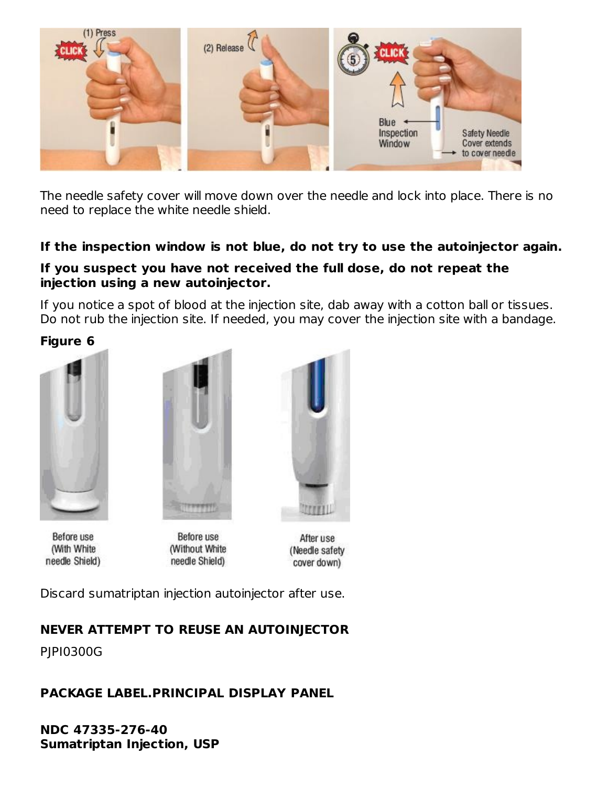

The needle safety cover will move down over the needle and lock into place. There is no need to replace the white needle shield.

## **If the inspection window is not blue, do not try to use the autoinjector again.**

## **If you suspect you have not received the full dose, do not repeat the injection using a new autoinjector.**

If you notice a spot of blood at the injection site, dab away with a cotton ball or tissues. Do not rub the injection site. If needed, you may cover the injection site with a bandage.

**Figure 6**



Before use (With White needle Shield)



Before use (Without White needle Shield)



After use (Needle safety cover down)

Discard sumatriptan injection autoinjector after use.

# **NEVER ATTEMPT TO REUSE AN AUTOINJECTOR**

PJPI0300G

# **PACKAGE LABEL.PRINCIPAL DISPLAY PANEL**

**NDC 47335-276-40 Sumatriptan Injection, USP**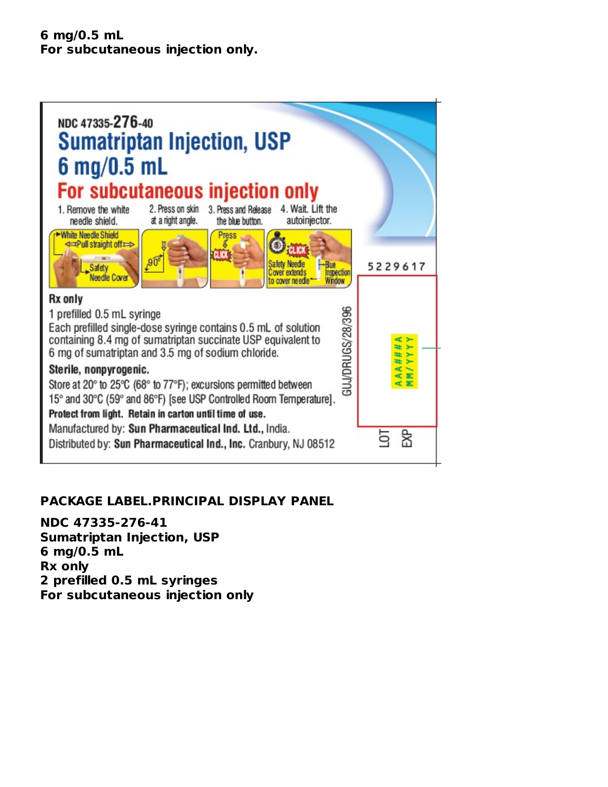#### **6 mg/0.5 mL For subcutaneous injection only.**



## **PACKAGE LABEL.PRINCIPAL DISPLAY PANEL**

**NDC 47335-276-41 Sumatriptan Injection, USP 6 mg/0.5 mL Rx only 2 prefilled 0.5 mL syringes For subcutaneous injection only**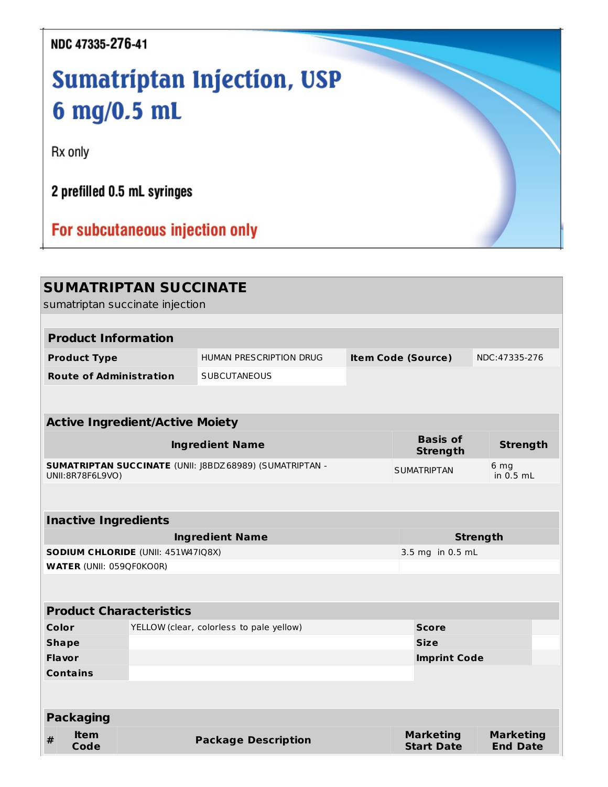# NDC 47335-276-41

# Sumatriptan Injection, USP 6 mg/0.5 mL

Rx only

2 prefilled 0.5 mL syringes

For subcutaneous injection only

|                                                   |                                 | <b>SUMATRIPTAN SUCCINATE</b><br>sumatriptan succinate injection |                                                                 |                     |                                       |                                     |  |
|---------------------------------------------------|---------------------------------|-----------------------------------------------------------------|-----------------------------------------------------------------|---------------------|---------------------------------------|-------------------------------------|--|
|                                                   |                                 |                                                                 |                                                                 |                     |                                       |                                     |  |
|                                                   | <b>Product Information</b>      |                                                                 |                                                                 |                     |                                       |                                     |  |
|                                                   | <b>Product Type</b>             |                                                                 | <b>HUMAN PRESCRIPTION DRUG</b>                                  |                     | <b>Item Code (Source)</b>             | NDC: 47335-276                      |  |
|                                                   | <b>Route of Administration</b>  |                                                                 | <b>SUBCUTANEOUS</b>                                             |                     |                                       |                                     |  |
|                                                   |                                 |                                                                 |                                                                 |                     |                                       |                                     |  |
|                                                   |                                 | <b>Active Ingredient/Active Moiety</b>                          |                                                                 |                     |                                       |                                     |  |
|                                                   |                                 |                                                                 | <b>Ingredient Name</b>                                          |                     | <b>Basis of</b><br><b>Strength</b>    | <b>Strength</b>                     |  |
|                                                   | UNII:8R78F6L9VO)                |                                                                 | <b>SUMATRIPTAN SUCCINATE (UNII: J8BDZ 68989) (SUMATRIPTAN -</b> |                     | <b>SUMATRIPTAN</b>                    | 6 <sub>mg</sub><br>in $0.5$ mL      |  |
|                                                   |                                 |                                                                 |                                                                 |                     |                                       |                                     |  |
|                                                   | <b>Inactive Ingredients</b>     |                                                                 |                                                                 |                     |                                       |                                     |  |
| <b>Ingredient Name</b>                            |                                 |                                                                 |                                                                 |                     | <b>Strength</b>                       |                                     |  |
| SODIUM CHLORIDE (UNII: 451W47IQ8X)                |                                 |                                                                 |                                                                 | 3.5 mg in 0.5 mL    |                                       |                                     |  |
|                                                   | <b>WATER (UNII: 059QF0KO0R)</b> |                                                                 |                                                                 |                     |                                       |                                     |  |
|                                                   |                                 |                                                                 |                                                                 |                     |                                       |                                     |  |
|                                                   |                                 | <b>Product Characteristics</b>                                  |                                                                 |                     |                                       |                                     |  |
| Color<br>YELLOW (clear, colorless to pale yellow) |                                 |                                                                 |                                                                 |                     | <b>Score</b>                          |                                     |  |
| <b>Shape</b>                                      |                                 |                                                                 |                                                                 | <b>Size</b>         |                                       |                                     |  |
| <b>Flavor</b>                                     |                                 |                                                                 |                                                                 | <b>Imprint Code</b> |                                       |                                     |  |
|                                                   | <b>Contains</b>                 |                                                                 |                                                                 |                     |                                       |                                     |  |
|                                                   |                                 |                                                                 |                                                                 |                     |                                       |                                     |  |
|                                                   | <b>Packaging</b>                |                                                                 |                                                                 |                     |                                       |                                     |  |
| #                                                 | ltem<br>Code                    |                                                                 | <b>Package Description</b>                                      |                     | <b>Marketing</b><br><b>Start Date</b> | <b>Marketing</b><br><b>End Date</b> |  |